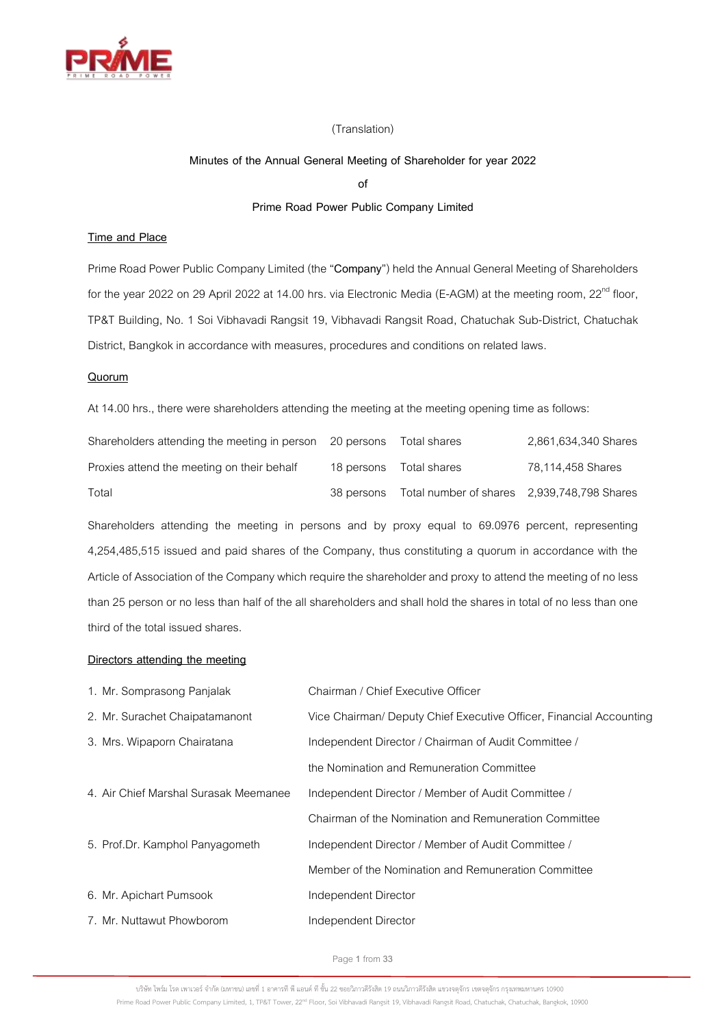

## (Translation)

## **Minutes of the Annual General Meeting of Shareholder for year 2022**

**of**

# **Prime Road Power Public Company Limited**

# **Time and Place**

Prime Road Power Public Company Limited (the "**Company**") held the Annual General Meeting of Shareholders for the year 2022 on 29 April 2022 at 14.00 hrs. via Electronic Media (E-AGM) at the meeting room, 22<sup>nd</sup> floor, TP&T Building, No. 1 Soi Vibhavadi Rangsit 19, Vibhavadi Rangsit Road, Chatuchak Sub-District, Chatuchak District, Bangkok in accordance with measures, procedures and conditions on related laws.

## **Quorum**

At 14.00 hrs., there were shareholders attending the meeting at the meeting opening time as follows:

| Shareholders attending the meeting in person 20 persons |            | Total shares                                | 2,861,634,340 Shares |
|---------------------------------------------------------|------------|---------------------------------------------|----------------------|
| Proxies attend the meeting on their behalf              | 18 persons | Total shares                                | 78,114,458 Shares    |
| Total                                                   | 38 persons | Total number of shares 2,939,748,798 Shares |                      |

Shareholders attending the meeting in persons and by proxy equal to 69.0976 percent, representing 4,254,485,515 issued and paid shares of the Company, thus constituting a quorum in accordance with the Article of Association of the Company which require the shareholder and proxy to attend the meeting of no less than 25 person or no less than half of the all shareholders and shall hold the shares in total of no less than one third of the total issued shares.

### **Directors attending the meeting**

| 1. Mr. Somprasong Panjalak            | Chairman / Chief Executive Officer                                  |
|---------------------------------------|---------------------------------------------------------------------|
| 2. Mr. Surachet Chaipatamanont        | Vice Chairman/ Deputy Chief Executive Officer, Financial Accounting |
| 3. Mrs. Wipaporn Chairatana           | Independent Director / Chairman of Audit Committee /                |
|                                       | the Nomination and Remuneration Committee                           |
| 4. Air Chief Marshal Surasak Meemanee | Independent Director / Member of Audit Committee /                  |
|                                       | Chairman of the Nomination and Remuneration Committee               |
| 5. Prof.Dr. Kamphol Panyagometh       | Independent Director / Member of Audit Committee /                  |
|                                       | Member of the Nomination and Remuneration Committee                 |
| 6. Mr. Apichart Pumsook               | Independent Director                                                |
| 7. Mr. Nuttawut Phowborom             | Independent Director                                                |
|                                       |                                                                     |

Page**1** from **33**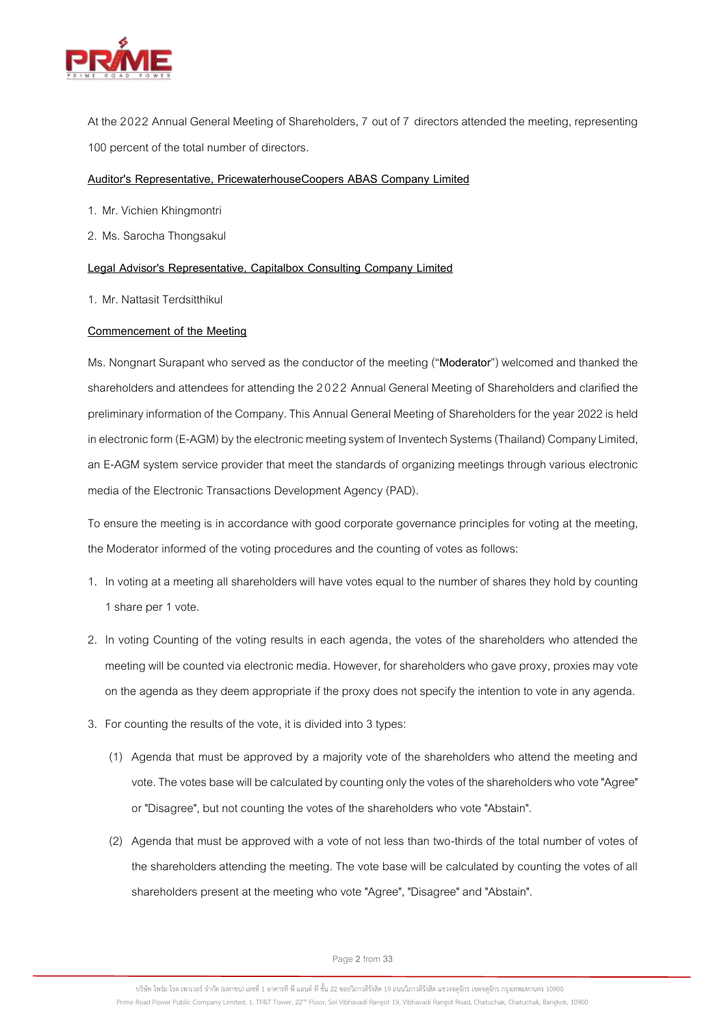

At the 2022 Annual General Meeting of Shareholders, 7 out of 7 directors attended the meeting, representing 100 percent of the total number of directors.

## **Auditor's Representative, PricewaterhouseCoopers ABAS Company Limited**

- 1. Mr. Vichien Khingmontri
- 2. Ms. Sarocha Thongsakul

#### **Legal Advisor's Representative, Capitalbox Consulting Company Limited**

1. Mr. Nattasit Terdsitthikul

## **Commencement of the Meeting**

Ms. Nongnart Surapant who served as the conductor of the meeting ("**Moderator**") welcomed and thanked the shareholders and attendees for attending the 2022 Annual General Meeting of Shareholders and clarified the preliminary information of the Company. This Annual General Meeting of Shareholders for the year 2022 is held in electronic form (E-AGM) by the electronic meeting system of Inventech Systems (Thailand) Company Limited, an E-AGM system service provider that meet the standards of organizing meetings through various electronic media of the Electronic Transactions Development Agency (PAD).

To ensure the meeting is in accordance with good corporate governance principles for voting at the meeting, the Moderator informed of the voting procedures and the counting of votes as follows:

- 1. In voting at a meeting all shareholders will have votes equal to the number of shares they hold by counting 1share per 1vote.
- 2. In voting Counting of the voting results in each agenda, the votes of the shareholders who attended the meeting will be counted via electronic media. However, for shareholders who gave proxy, proxies may vote on the agenda as they deem appropriate if the proxy does not specify the intention to vote in any agenda.
- 3. For counting the results of the vote, it is divided into 3types:
	- (1) Agenda that must be approved by a majority vote of the shareholders who attend the meeting and vote. The votes base will be calculated by counting only the votes of the shareholders who vote "Agree" or "Disagree", but not counting the votes of the shareholders who vote "Abstain".
	- (2) Agenda that must be approved with a vote of not less than two-thirds of the total number of votes of the shareholders attending the meeting. The vote base will be calculated by counting the votes of all shareholders present at the meeting who vote "Agree", "Disagree" and "Abstain".

Page**2** from **33**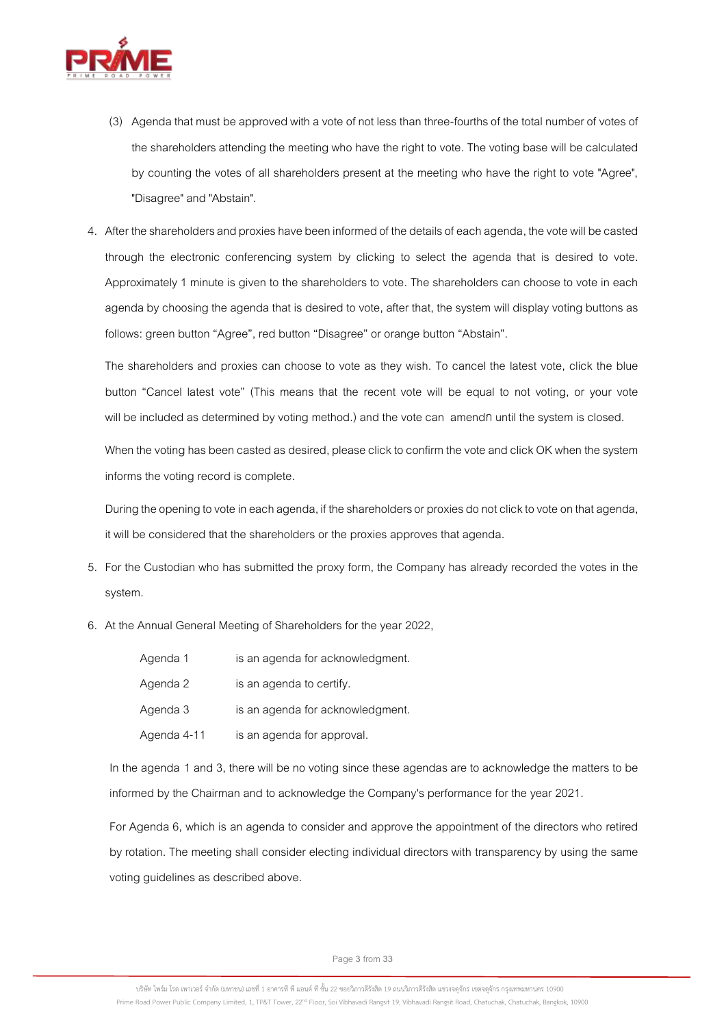

- (3) Agenda that must be approved with a vote of not less than three-fourths of the total number of votes of the shareholders attending the meeting who have the right to vote.The voting base will be calculated by counting the votes of all shareholders present at the meeting who have the right to vote "Agree", "Disagree" and "Abstain".
- 4. After the shareholders and proxies have been informed of the details of each agenda, thevote will be casted through the electronic conferencing system by clicking to select the agenda that is desired to vote. Approximately 1 minute is given to the shareholders to vote. The shareholders can choose to vote in each agenda by choosing the agenda that is desired to vote, after that, the system will display voting buttons as follows: green button "Agree", red button "Disagree" or orange button "Abstain".

The shareholders and proxies can choose to vote as they wish. To cancel the latest vote, click the blue button "Cancel latest vote" (This means that the recent vote will be equal to not voting, or your vote will be included as determined by voting method.) and the vote can amendก until the system is closed.

When the voting has been casted as desired, please click to confirm the vote and click OK when the system informs the voting record is complete.

During the opening to vote in each agenda, if the shareholders or proxies do not click to vote on that agenda, it will be considered that the shareholders or the proxies approves that agenda.

- 5. For the Custodian who has submitted the proxy form, the Company has already recorded the votes in the system.
- 6. At the Annual General Meeting of Shareholders for the year 2022,

| Agenda 1    | is an agenda for acknowledgment. |
|-------------|----------------------------------|
| Agenda 2    | is an agenda to certify.         |
| Agenda 3    | is an agenda for acknowledgment. |
| Agenda 4-11 | is an agenda for approval.       |

In the agenda 1 and 3, there will be no voting since these agendas are to acknowledge the matters to be informed by the Chairman and to acknowledge the Company's performance for the year 2021.

For Agenda 6, which is an agenda to consider and approve the appointment of the directors who retired by rotation. The meeting shall consider electing individual directors with transparency by using the same voting guidelines as described above.

Page**3** from **33**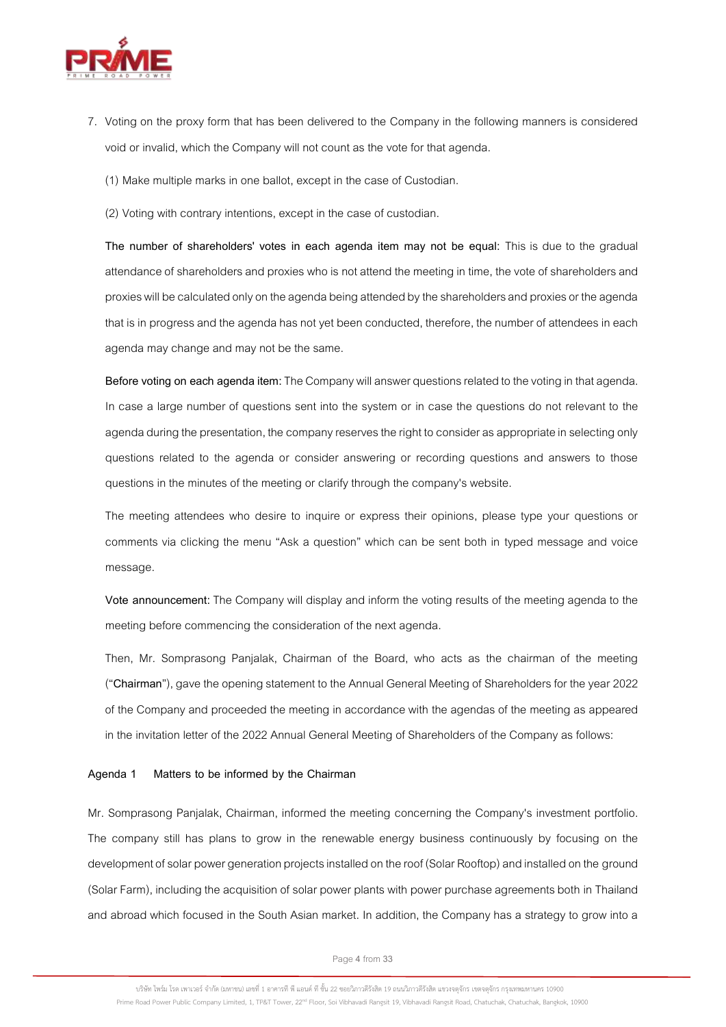

7. Voting on the proxy form that has been delivered to the Company in the following manners is considered void or invalid, which the Company will not count as the vote for that agenda.

(1) Make multiple marks in one ballot, except in the case of Custodian.

(2) Voting with contrary intentions, except in the case of custodian.

**The number of shareholders' votes in each agenda item may not be equal:** This is due to the gradual attendance of shareholders and proxies who is not attend the meeting in time, the vote of shareholders and proxies will be calculated only on the agenda being attended by the shareholders and proxies or the agenda that is in progress and the agenda has not yet been conducted, therefore, the number of attendees in each agenda may change and may not be the same.

**Before voting on each agenda item:**The Company will answer questions related to the voting in that agenda. In case a large number of questions sent into the system or in case the questions do not relevant to the agenda during the presentation, the company reserves the right to consider as appropriate in selecting only questions related to the agenda or consider answering or recording questions and answers to those questions in the minutes of the meeting or clarify through the company's website.

The meeting attendees who desire to inquire or express their opinions, please type your questions or comments via clicking the menu "Ask a question" which can be sent both in typed message and voice message.

**Vote announcement:**The Company will display and inform the voting results of the meeting agenda to the meeting before commencing the consideration of the next agenda.

Then, Mr. Somprasong Panjalak, Chairman of the Board, who acts as the chairman of the meeting ("**Chairman**"), gave the opening statement tothe Annual General Meeting of Shareholders for the year 2022 of the Company and proceeded the meeting in accordance with the agendas of the meeting as appeared in the invitation letter of the 2022 Annual General Meeting of Shareholders of the Company as follows:

#### **Agenda 1 Matters to be informed by the Chairman**

Mr. Somprasong Panjalak, Chairman, informed the meeting concerning the Company's investment portfolio. The company still has plans to grow in the renewable energy business continuously by focusing on the development of solar power generation projects installed on the roof (Solar Rooftop) and installed on the ground (Solar Farm), including the acquisition of solar power plants with power purchase agreements both in Thailand and abroad which focused in the South Asian market. In addition, the Company has a strategy to grow into a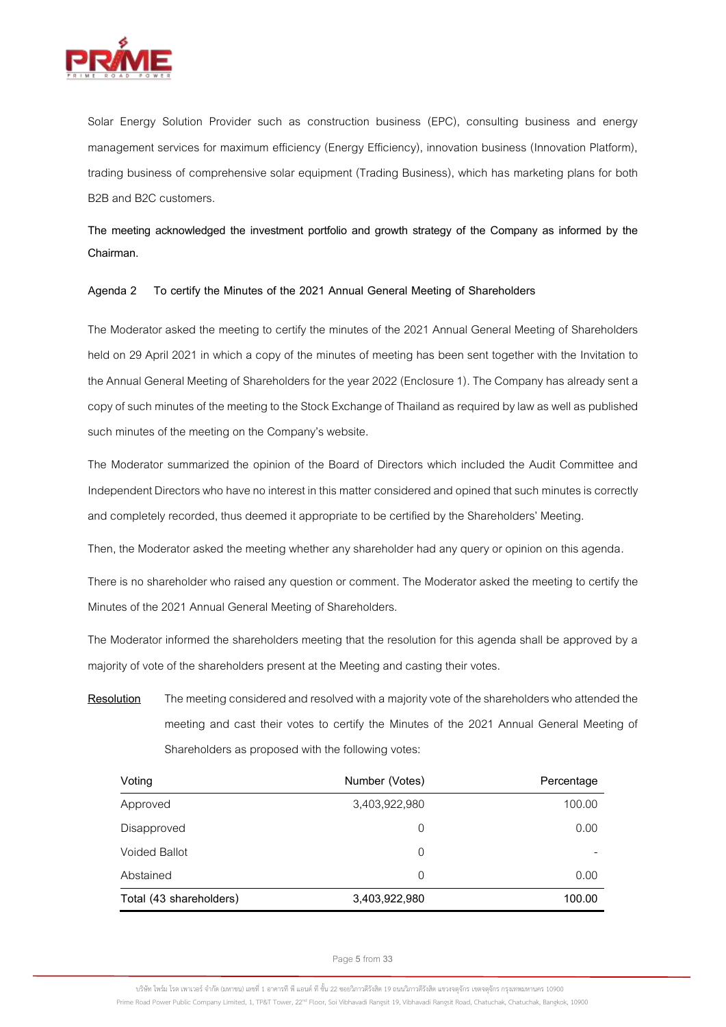

Solar Energy Solution Provider such as construction business (EPC), consulting business and energy management services for maximum efficiency (Energy Efficiency), innovation business (Innovation Platform), trading business of comprehensive solar equipment (Trading Business), which has marketing plans for both B2B and B2C customers.

**The meeting acknowledged the investment portfolio and growth strategy of the Company as informed by the Chairman.**

## **Agenda 2 To certify the Minutes of the 2021 Annual General Meeting of Shareholders**

The Moderator asked the meeting to certify the minutes of the 2021 Annual General Meeting of Shareholders held on 29 April 2021 in which a copy of the minutes of meeting has been sent together with the Invitation to the Annual General Meeting of Shareholders for the year 2022(Enclosure 1). The Company has already sent a copy of such minutes of the meeting to the Stock Exchange of Thailand as required by law as well as published such minutes of the meeting on the Company's website.

The Moderator summarized the opinion of the Board of Directors which included the Audit Committee and Independent Directors who have no interest in this matter considered and opined that such minutes is correctly and completely recorded, thus deemed it appropriate to be certified by the Shareholders' Meeting.

Then, the Moderator asked the meeting whether any shareholder had any query or opinion on this agenda.

There is no shareholder who raised any question or comment. The Moderator asked the meeting to certify the Minutes of the 2021 Annual General Meeting of Shareholders.

The Moderator informed the shareholders meeting that the resolution for this agenda shall be approved by a majority of vote of the shareholders present at the Meeting and casting their votes.

**Resolution** The meeting considered and resolved with a majority vote of the shareholders who attended the meeting and cast their votes to certify the Minutes of the 2021 Annual General Meeting of Shareholders as proposed with the following votes:

| Voting                  | Number (Votes) | Percentage |
|-------------------------|----------------|------------|
| Approved                | 3,403,922,980  | 100.00     |
| Disapproved             | 0              | 0.00       |
| <b>Voided Ballot</b>    | 0              |            |
| Abstained               | 0              | 0.00       |
| Total (43 shareholders) | 3,403,922,980  | 100.00     |

Page**5** from **33**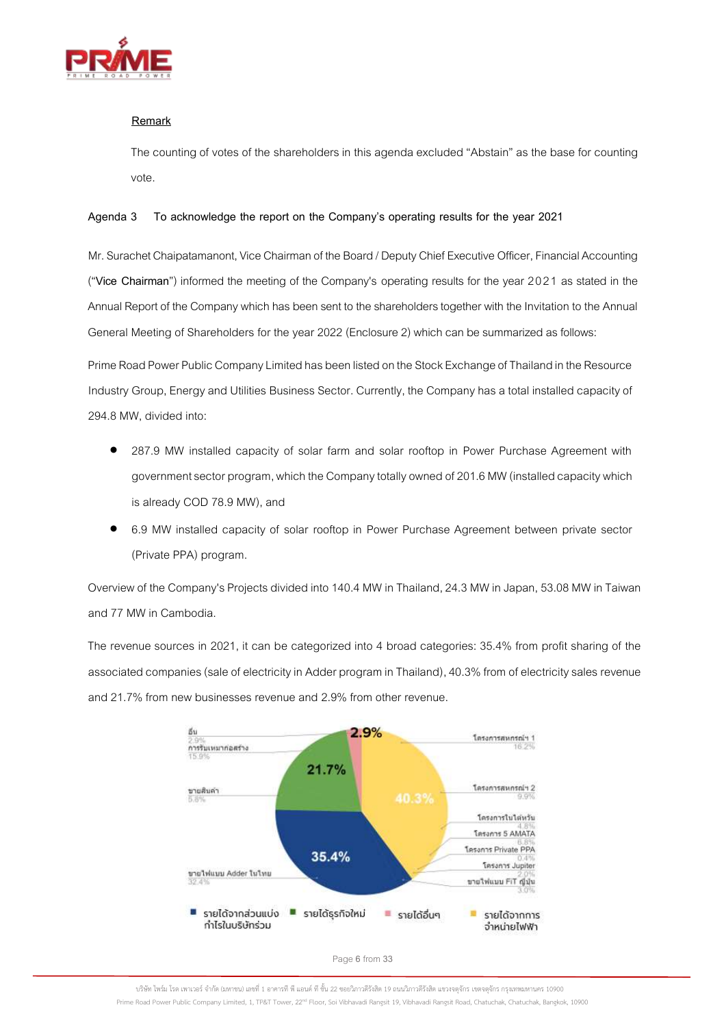

# **Remark**

The counting of votes of the shareholders in this agenda excluded "Abstain" as the base for counting vote.

# **Agenda 3 To acknowledge the report on the Company's operating results for the year 2021**

Mr. Surachet Chaipatamanont, Vice Chairman of the Board / Deputy Chief Executive Officer, Financial Accounting ("**Vice Chairman**") informed the meeting of the Company's operating results for the year 2021 as stated in the Annual Report of the Company which has been sent to the shareholders together with the Invitation to the Annual General Meeting of Shareholders for the year 2022(Enclosure 2) which can be summarized as follows:

Prime Road Power Public Company Limited has been listed on the Stock Exchange of Thailand in the Resource Industry Group, Energy and Utilities Business Sector. Currently, the Company has a total installed capacity of 294.8 MW, divided into:

- 287.9 MW installed capacity of solar farm and solar rooftop in Power Purchase Agreement with government sector program, which the Company totally owned of 201.6 MW (installed capacity which is already COD 78.9 MW), and
- 6.9 MW installed capacity of solar rooftop in Power Purchase Agreement between private sector (Private PPA) program.

Overview of the Company's Projects divided into 140.4 MW in Thailand, 24.3 MW in Japan, 53.08 MW in Taiwan and 77 MW in Cambodia.

The revenue sources in 2021, it can be categorized into 4 broad categories: 35.4% from profit sharing of the associated companies(sale of electricity in Adder program in Thailand), 40.3% from of electricity sales revenue and 21.7% from new businesses revenue and 2.9% from other revenue.



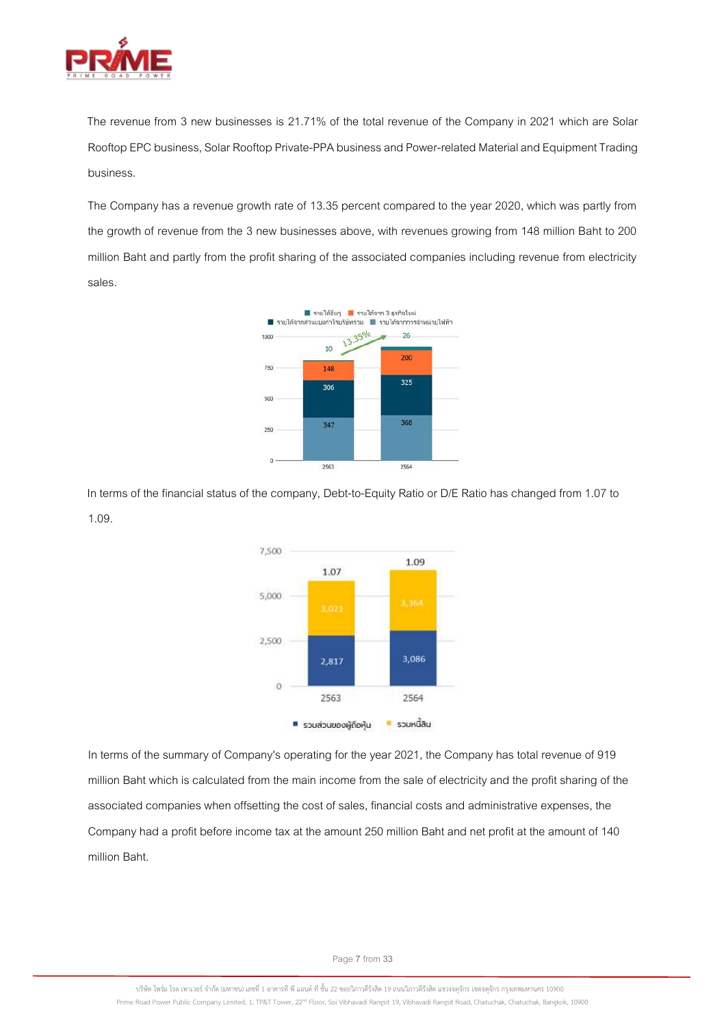

The revenue from 3 new businesses is 21.71% of the total revenue of the Company in 2021 which are Solar Rooftop EPC business, Solar Rooftop Private-PPA business and Power-related Material and Equipment Trading business.

The Company has a revenue growth rate of 13.35 percent compared to the year 2020, which was partly from the growth of revenue from the 3 new businesses above, with revenues growing from 148 million Baht to 200 million Baht and partly from the profit sharing of the associated companies including revenue from electricity sales.



In terms of the financial status of the company, Debt-to-Equity Ratio or D/E Ratio has changed from 1.07 to 1.09.



In terms of the summary of Company's operating for the year 2021, the Company has total revenue of 919 million Baht which is calculated from the main income from the sale of electricity and the profit sharing of the associated companies when offsetting the cost of sales, financial costs and administrative expenses, the Company had a profit before income tax at the amount250 million Bahtand net profit at the amount of 140 million Baht.

Page**7** from **33**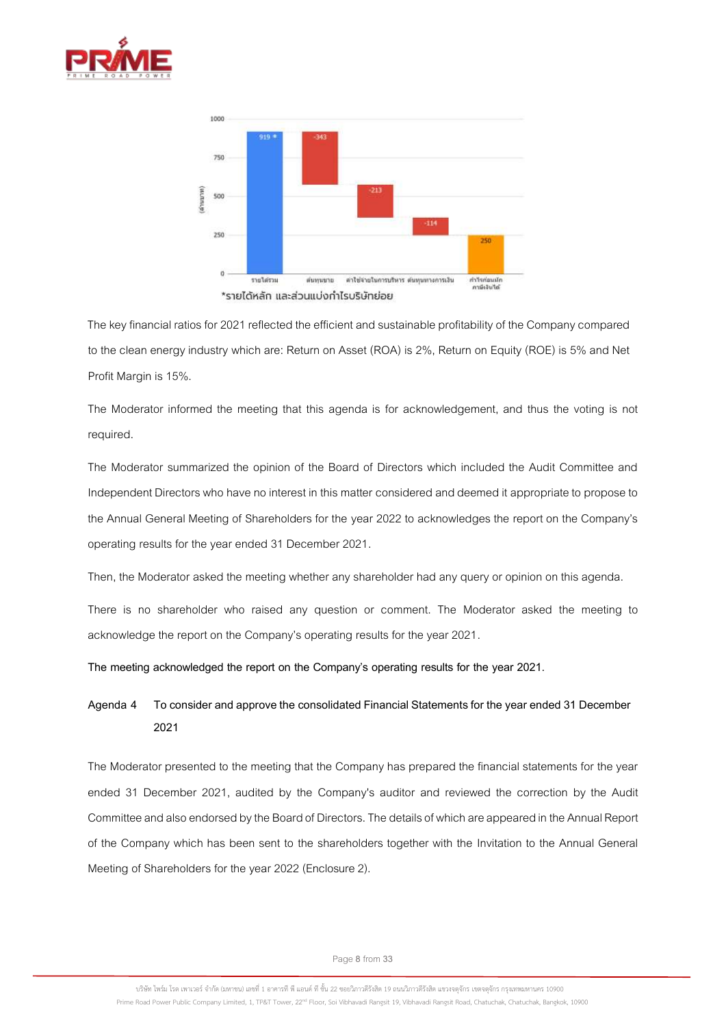



The key financial ratios for 2021 reflected the efficient and sustainable profitability of the Company compared to the clean energy industry which are: Return on Asset (ROA) is 2%, Return on Equity (ROE) is 5% and Net Profit Margin is 15%.

The Moderator informed the meeting that this agenda is for acknowledgement, and thus the voting is not required.

The Moderator summarized the opinion of the Board of Directors which included the Audit Committee and Independent Directors who have no interest in this matter considered and deemed it appropriate to propose to the Annual General Meeting of Shareholders for the year 2022 to acknowledges the report on the Company's operating results for the year ended 31 December 2021.

Then, the Moderator asked the meeting whether any shareholder had any query or opinion on this agenda.

There is no shareholder who raised any question or comment. The Moderator asked the meeting to acknowledge the report on the Company's operating results for the year 2021.

**The meeting acknowledged the report on the Company's operating results for the year 2021.**

# **Agenda 4 To consider and approve the consolidated Financial Statements for the year ended 31 December 2021**

The Moderator presented to the meeting that the Company has prepared the financial statements for the year ended 31 December 2021, audited by the Company's auditor and reviewed the correction by the Audit Committeeand also endorsed by the Board of Directors. The detailsof which areappeared in the Annual Report of the Company which has been sent to the shareholders together with the Invitation to the Annual General Meeting of Shareholders for the year 2022(Enclosure 2).

Page**8** from **33**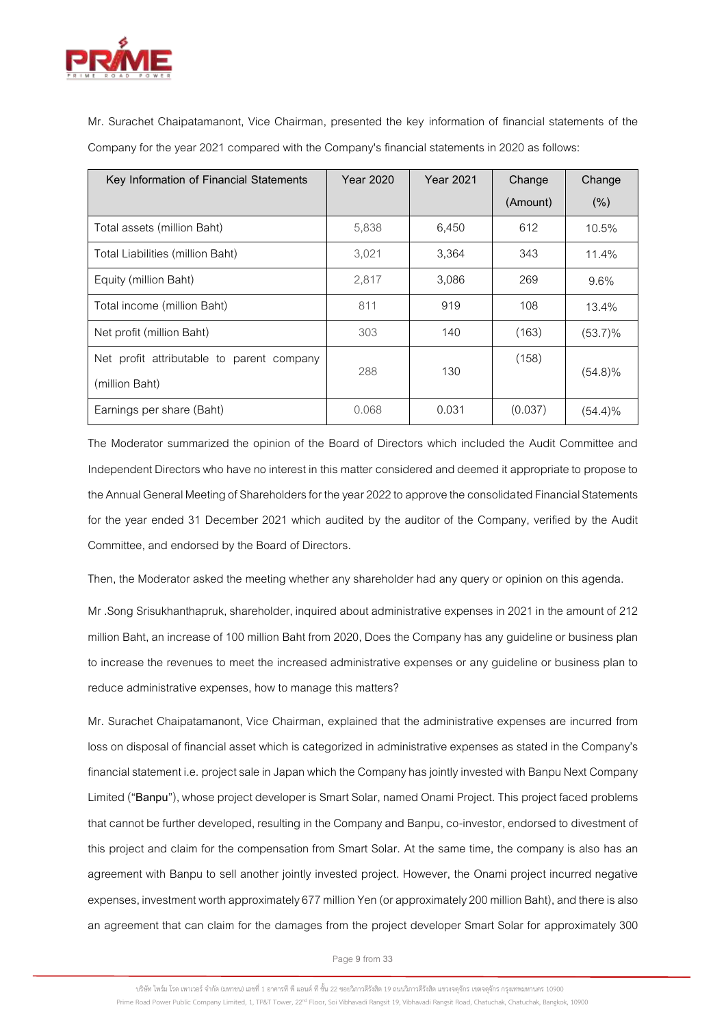

Mr. Surachet Chaipatamanont, Vice Chairman, presented the key information of financial statements of the Company for the year 2021 compared with the Company's financial statements in 2020 as follows:

| Key Information of Financial Statements   | <b>Year 2020</b> | <b>Year 2021</b> | Change   | Change     |
|-------------------------------------------|------------------|------------------|----------|------------|
|                                           |                  |                  | (Amount) | (% )       |
| Total assets (million Baht)               | 5,838            | 6,450            | 612      | 10.5%      |
| Total Liabilities (million Baht)          | 3,021            | 3,364            | 343      | 11.4%      |
| Equity (million Baht)                     | 2,817            | 3,086            | 269      | 9.6%       |
| Total income (million Baht)               | 811              | 919              | 108      | 13.4%      |
| Net profit (million Baht)                 | 303              | 140              | (163)    | $(53.7)\%$ |
| Net profit attributable to parent company | 288              | 130              | (158)    |            |
| (million Baht)                            |                  |                  |          | $(54.8)\%$ |
| Earnings per share (Baht)                 | 0.068            | 0.031            | (0.037)  | $(54.4)\%$ |

The Moderator summarized the opinion of the Board of Directors which included the Audit Committee and Independent Directors who have no interest in this matter considered and deemed it appropriate to propose to the Annual General Meeting of Shareholders for the year 2022 to approve the consolidated Financial Statements for the year ended 31 December 2021 which audited by the auditor of the Company, verified by the Audit Committee, and endorsed by the Board of Directors.

Then, the Moderator asked the meeting whether any shareholder had any query or opinion on this agenda.

Mr .Song Srisukhanthapruk, shareholder, inquired about administrative expenses in 2021 in the amount of 212 million Baht, an increase of 100 million Baht from 2020, Does the Company has any guideline or business plan to increase the revenues to meet the increased administrative expenses or any guideline or business plan to reduce administrative expenses, how to manage this matters?

Mr. Surachet Chaipatamanont, Vice Chairman, explained that the administrative expenses are incurred from loss on disposal of financial asset which is categorized in administrative expenses as stated in the Company's financial statement i.e. project sale in Japan which the Company has jointly invested with Banpu Next Company Limited ("**Banpu**"), whose project developer is Smart Solar, named Onami Project. This project faced problems that cannot be further developed, resulting in the Company and Banpu, co-investor, endorsed to divestment of this project and claim for the compensation from Smart Solar. At the same time, the company is also has an agreement with Banpu to sell another jointly invested project. However, the Onami project incurred negative expenses, investment worth approximately 677 million Yen (or approximately 200 million Baht), and there is also an agreement that can claim for the damages from the project developer Smart Solar for approximately 300

Page**9** from **33**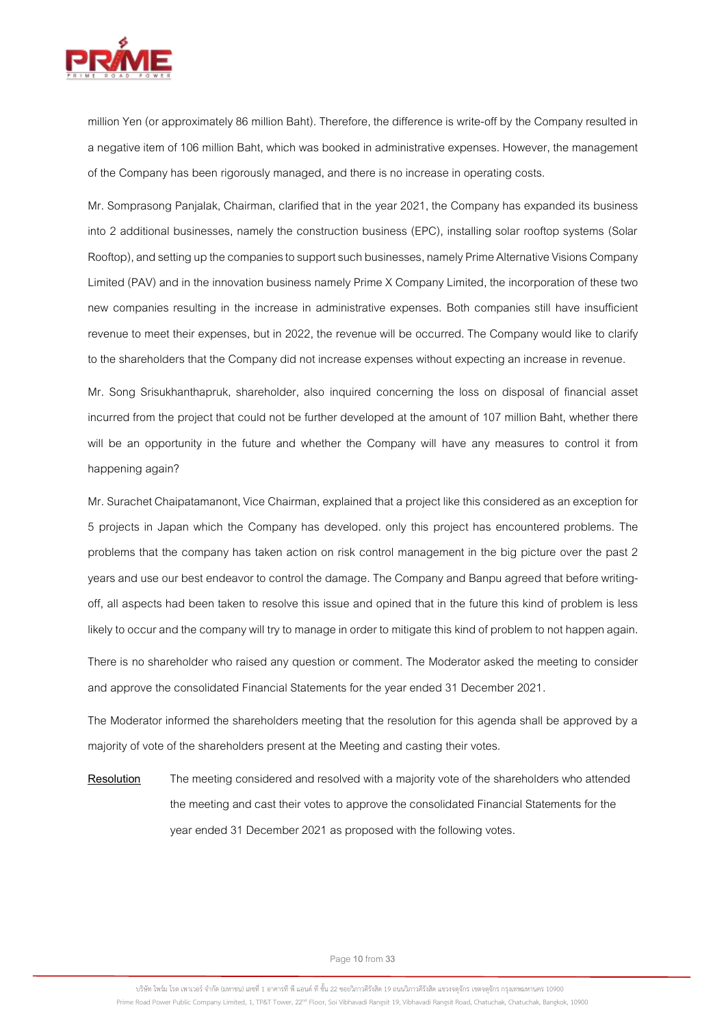

million Yen (or approximately 86 million Baht). Therefore, the difference is write-off by the Company resulted in a negative item of 106 million Baht, which was booked in administrative expenses. However, the management of the Company has been rigorously managed, and there is no increase in operating costs.

Mr. Somprasong Panjalak, Chairman, clarified that in the year 2021, the Company has expanded its business into 2 additional businesses, namely the construction business (EPC), installing solar rooftop systems (Solar Rooftop), and setting up thecompanies to support such businesses, namely Prime Alternative Visions Company Limited (PAV) and in the innovation business namely Prime X Company Limited, the incorporation of these two new companies resulting in the increase in administrative expenses. Both companies still have insufficient revenue to meet their expenses, but in 2022, the revenue will be occurred. The Company would like to clarify to the shareholders that the Company did not increase expenses without expecting an increase in revenue.

Mr. Song Srisukhanthapruk, shareholder, also inquired concerning the loss on disposal of financial asset incurred from the project that could not be further developed at the amount of 107 million Baht, whether there will be an opportunity in the future and whether the Company will have any measures to control it from happening again?

Mr. Surachet Chaipatamanont, Vice Chairman, explained that a project like this considered as an exception for 5 projects in Japan which the Company has developed. only this project has encountered problems. The problems that the company has taken action on risk control management in the big picture over the past 2 years and use our best endeavor to control the damage. The Company and Banpu agreed that before writingoff, all aspects had been taken to resolve this issue and opined that in the future this kind of problem is less likely to occur and the company will try to manage in order to mitigate this kind of problem to not happen again.

There is no shareholder who raised any question or comment. The Moderator asked the meeting to consider and approve the consolidated Financial Statements for the year ended 31 December 2021.

The Moderator informed the shareholders meeting that the resolution for this agenda shall be approved by a majority of vote of the shareholders present at the Meeting and casting their votes.

**Resolution** The meeting considered and resolved with a majority vote of the shareholders who attended the meeting and cast their votes to approve the consolidated Financial Statements for the year ended 31 December 2021 as proposed with the following votes.

Page**10**from **33**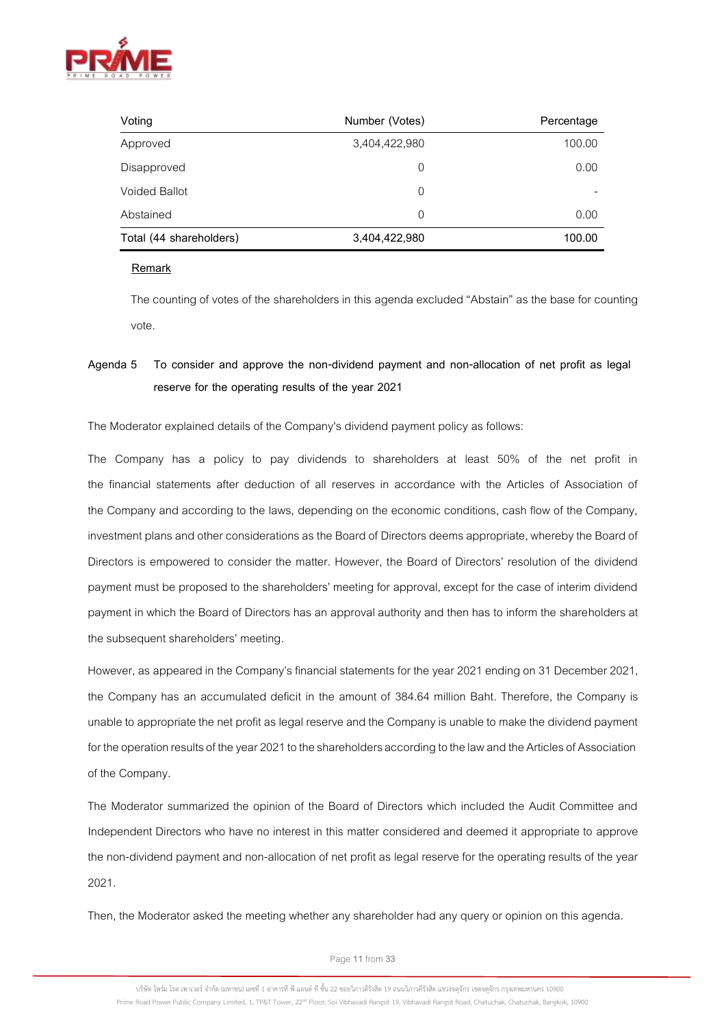

| Number (Votes)<br>Voting |               | Percentage |
|--------------------------|---------------|------------|
| Approved                 | 3,404,422,980 | 100.00     |
| Disapproved              | 0             | 0.00       |
| <b>Voided Ballot</b>     | 0             |            |
| Abstained                | 0             | 0.00       |
| Total (44 shareholders)  | 3,404,422,980 | 100.00     |

## **Remark**

The counting of votes of the shareholders in this agenda excluded "Abstain" as the base for counting vote.

# **Agenda 5 To consider and approve the non-dividend payment and non-allocation of net profit as legal reserve for the operating results of the year 2021**

The Moderator explained details of the Company's dividend payment policy as follows:

The Company has a policy to pay dividends to shareholders at least 50% of the net profit in the financial statements after deduction of all reserves in accordance with the Articles of Association of the Company and according to the laws, depending on the economic conditions, cash flow of the Company, investment plans and other considerations as the Board of Directors deems appropriate, whereby the Board of Directors is empowered to consider the matter. However, the Board of Directors' resolution of the dividend payment must be proposed to the shareholders' meeting for approval, except for the case of interim dividend payment in which the Board of Directors has an approval authority and then has to inform the shareholders at the subsequent shareholders' meeting.

However, as appeared in the Company's financial statements for the year 2021 ending on 31 December 2021, the Company has an accumulated deficit in the amount of 384.64 million Baht. Therefore, the Company is unable to appropriate the net profit as legal reserve and the Company is unable to make the dividend payment for the operation results of the year 2021 to the shareholders according to the law and the Articles of Association of the Company.

The Moderator summarized the opinion of the Board of Directors which included the Audit Committee and Independent Directors who have no interest in this matter considered and deemed it appropriate to approve the non-dividend payment and non-allocation of net profit as legal reserve for the operating results of the year 2021.

Then, the Moderator asked the meeting whether any shareholder had any query or opinion on this agenda.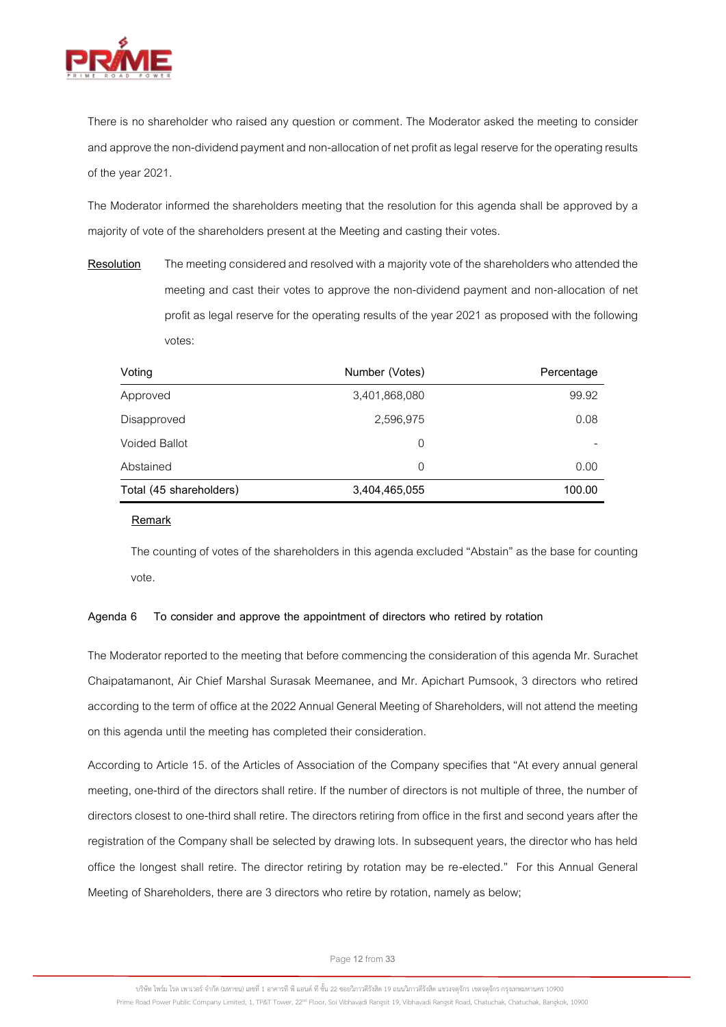

There is no shareholder who raised any question or comment. The Moderator asked the meeting to consider and approve the non-dividend payment and non-allocation of net profit as legal reserve for the operating results of the year 2021.

The Moderator informed the shareholders meeting that the resolution for this agenda shall be approved by a majority of vote of the shareholders present at the Meeting and casting their votes.

**Resolution** The meeting considered and resolved with a majority vote of the shareholders who attended the meeting and cast their votes to approve the non-dividend payment and non-allocation of net profit as legal reserve for the operating results of the year 2021 as proposed with the following votes:

| Voting                  | Number (Votes) | Percentage |
|-------------------------|----------------|------------|
| Approved                | 3,401,868,080  | 99.92      |
| Disapproved             | 2,596,975      | 0.08       |
| <b>Voided Ballot</b>    | $\Omega$       |            |
| Abstained               | $\Omega$       | 0.00       |
| Total (45 shareholders) | 3,404,465,055  | 100.00     |

#### **Remark**

The counting of votes of the shareholders in this agenda excluded "Abstain" as the base for counting vote.

# **Agenda 6 To consider and approve the appointment of directors who retired by rotation**

The Moderator reported to the meeting that before commencing the consideration of this agenda Mr. Surachet Chaipatamanont, Air Chief Marshal Surasak Meemanee, and Mr. Apichart Pumsook, 3 directors who retired according to the term of office at the 2022 Annual General Meeting of Shareholders, will not attend the meeting on this agenda until the meeting has completed their consideration.

According to Article 15. of the Articles of Association of the Company specifies that "At every annual general meeting, one-third of the directors shall retire. If the number of directors is not multiple of three, the number of directors closest to one-third shall retire. The directors retiring from office in the first and second years after the registration of the Company shall be selected by drawing lots. In subsequent years, the director who has held office the longest shall retire. The director retiring by rotation may be re-elected." For this Annual General Meeting of Shareholders, there are 3 directors who retire by rotation, namely as below;

Page**12**from **33**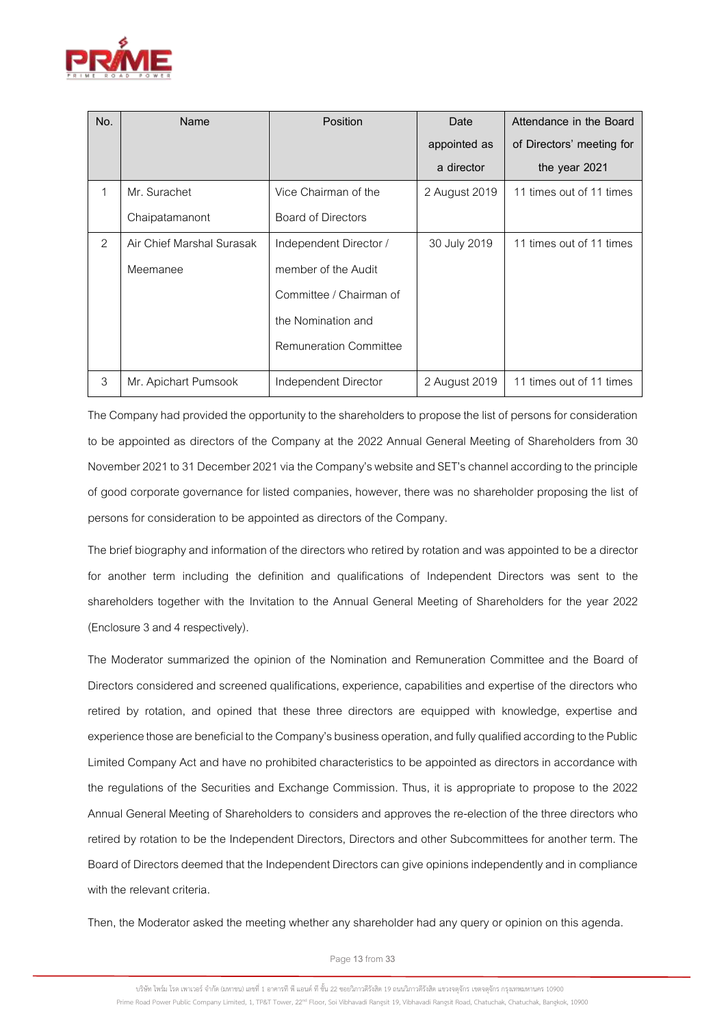

| No. | Name                      | <b>Position</b>               | Date          | Attendance in the Board   |
|-----|---------------------------|-------------------------------|---------------|---------------------------|
|     |                           |                               | appointed as  | of Directors' meeting for |
|     |                           |                               | a director    | the year 2021             |
| 1   | Mr. Surachet              | Vice Chairman of the          | 2 August 2019 | 11 times out of 11 times  |
|     | Chaipatamanont            | <b>Board of Directors</b>     |               |                           |
| 2   | Air Chief Marshal Surasak | Independent Director /        | 30 July 2019  | 11 times out of 11 times  |
|     | Meemanee                  | member of the Audit           |               |                           |
|     |                           | Committee / Chairman of       |               |                           |
|     |                           | the Nomination and            |               |                           |
|     |                           | <b>Remuneration Committee</b> |               |                           |
| 3   | Mr. Apichart Pumsook      | Independent Director          | 2 August 2019 | 11 times out of 11 times  |

The Company had provided the opportunity to the shareholders to propose the list of persons for consideration to be appointed as directors of the Company at the 2022 Annual General Meeting of Shareholders from 30 November 2021 to 31 December 2021 via the Company's website and SET's channel according to the principle of good corporate governance for listed companies, however, there was no shareholder proposing the list of persons for consideration to be appointed as directors of the Company.

The brief biography and information of the directors who retired by rotation and was appointed to be a director for another term including the definition and qualifications of Independent Directors was sent to the shareholders together with the Invitation to the Annual General Meeting of Shareholders for the year 2022 (Enclosure 3 and 4 respectively).

The Moderator summarized the opinion of the Nomination and Remuneration Committee and the Board of Directors considered and screened qualifications, experience, capabilities and expertise of the directors who retired by rotation, and opined that these three directors are equipped with knowledge, expertise and experience those are beneficial to the Company's business operation, and fully qualified according to the Public Limited Company Act and have no prohibited characteristics to be appointed as directors in accordance with the regulations of the Securities and Exchange Commission. Thus, it is appropriate to propose to the 2022 Annual General Meeting of Shareholders to considers and approves the re-election of the three directors who retired by rotation to be the Independent Directors, Directors and other Subcommittees for another term. The Board of Directors deemed that the Independent Directors can give opinions independently and in compliance with the relevant criteria.

Then, the Moderator asked the meeting whether any shareholder had any query or opinion on this agenda.

Page**13**from **33**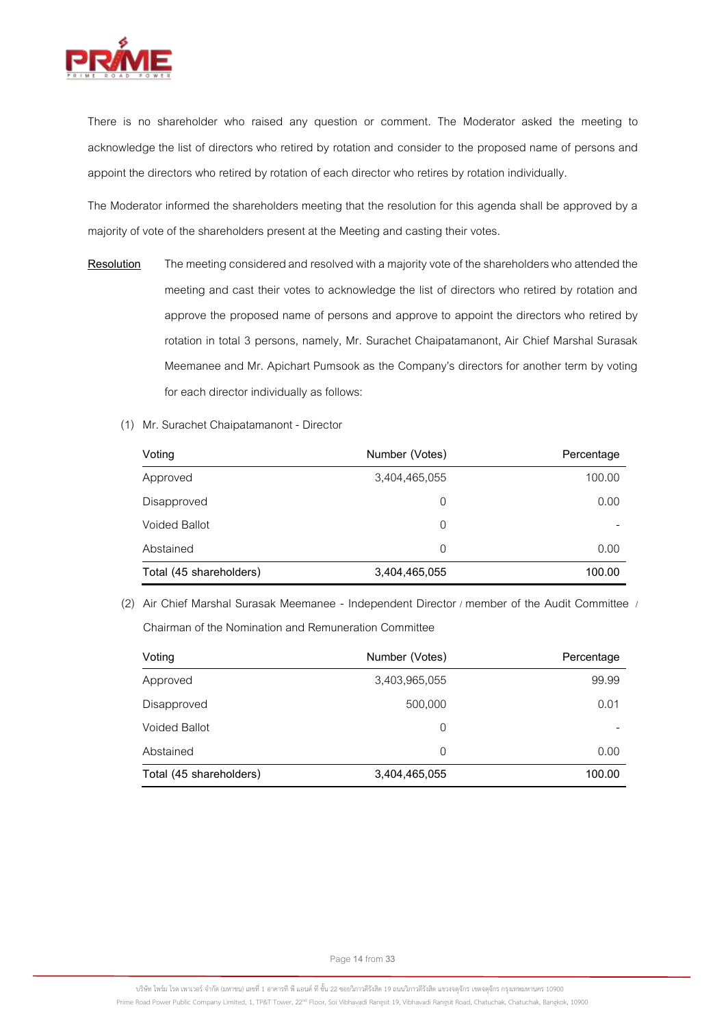

There is no shareholder who raised any question or comment. The Moderator asked the meeting to acknowledge the list of directors who retired by rotation and consider to the proposed name of persons and appoint the directors who retired by rotation of each director who retires by rotation individually.

The Moderator informed the shareholders meeting that the resolution for this agenda shall be approved by a majority of vote of the shareholders present at the Meeting and casting their votes.

- **Resolution** The meeting considered and resolved with a majority vote of the shareholders who attended the meeting and cast their votes to acknowledge the list of directors who retired by rotation and approve the proposed name of persons and approve to appoint the directors who retired by rotation in total 3 persons, namely, Mr. Surachet Chaipatamanont, Air Chief Marshal Surasak Meemanee and Mr. Apichart Pumsook as the Company's directors for another term by voting for each director individually as follows:
	- (1) Mr. Surachet Chaipatamanont Director

| Voting                  | Number (Votes) | Percentage |
|-------------------------|----------------|------------|
| Approved                | 3,404,465,055  | 100.00     |
| Disapproved             | 0              | 0.00       |
| <b>Voided Ballot</b>    | 0              |            |
| Abstained               | $\Omega$       | 0.00       |
| Total (45 shareholders) | 3,404,465,055  | 100.00     |

(2) Air Chief Marshal Surasak Meemanee - Independent Director / member of the Audit Committee / Chairman of the Nomination and Remuneration Committee

| Voting                  | Number (Votes) | Percentage |
|-------------------------|----------------|------------|
| Approved                | 3,403,965,055  | 99.99      |
| Disapproved             | 500,000        | 0.01       |
| <b>Voided Ballot</b>    | 0              |            |
| Abstained               | 0              | 0.00       |
| Total (45 shareholders) | 3,404,465,055  | 100.00     |

Page**14**from **33**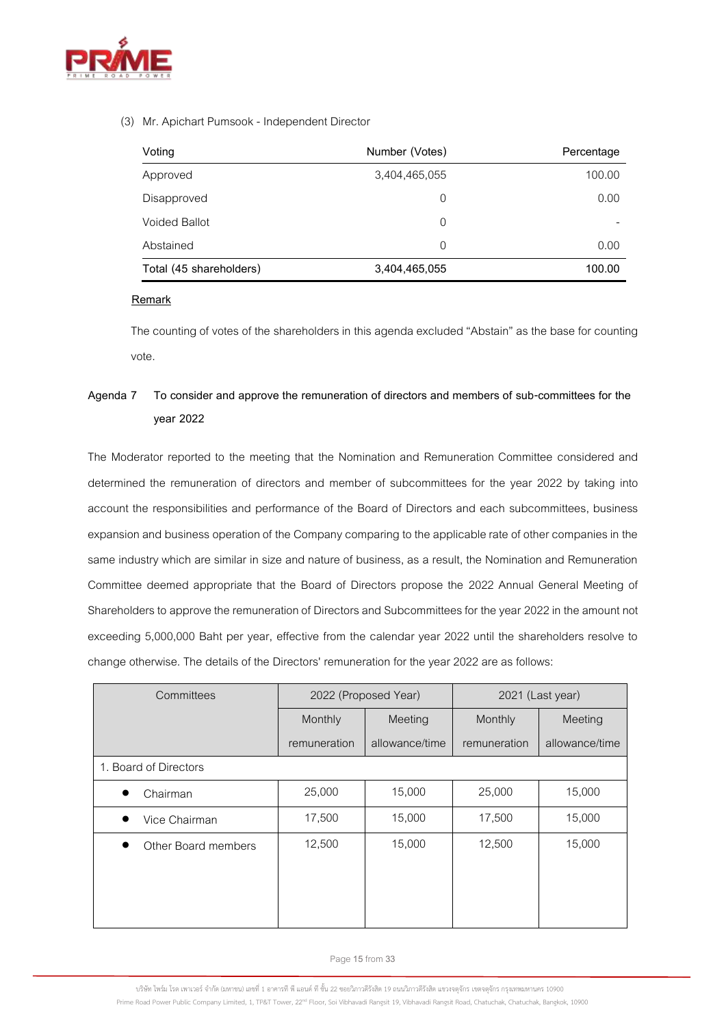

# (3) Mr. Apichart Pumsook - Independent Director

| Voting                  | Number (Votes) | Percentage |
|-------------------------|----------------|------------|
| Approved                | 3,404,465,055  | 100.00     |
| Disapproved             | 0              | 0.00       |
| <b>Voided Ballot</b>    | 0              | -          |
| Abstained               | 0              | 0.00       |
| Total (45 shareholders) | 3,404,465,055  | 100.00     |

# **Remark**

The counting of votes of the shareholders in this agenda excluded "Abstain" as the base for counting vote.

# **Agenda 7 To consider and approve the remuneration of directors and members of sub-committees for the year 2022**

The Moderator reported to the meeting that the Nomination and Remuneration Committee considered and determined the remuneration of directors and member of subcommittees for the year 2022 by taking into account the responsibilities and performance of the Board of Directors and each subcommittees, business expansion and business operation of the Company comparing to the applicable rate of other companies in the same industry which are similar in size and nature of business, as a result, the Nomination and Remuneration Committee deemed appropriate that the Board of Directors propose the 2022 Annual General Meeting of Shareholders to approve the remuneration of Directors and Subcommittees for the year 2022 in the amount not exceeding 5,000,000 Baht per year, effective from the calendar year 2022 until the shareholders resolve to change otherwise. The details of the Directors' remuneration for the year 2022 are as follows:

| Committees            | 2022 (Proposed Year) |                | 2021 (Last year) |                |
|-----------------------|----------------------|----------------|------------------|----------------|
|                       | Monthly<br>Meeting   |                | Monthly          | Meeting        |
|                       | remuneration         | allowance/time | remuneration     | allowance/time |
| 1. Board of Directors |                      |                |                  |                |
| Chairman              | 25,000               | 15,000         | 25,000           | 15,000         |
| Vice Chairman         | 17,500               | 15,000         | 17,500           | 15,000         |
| Other Board members   | 12,500               | 15,000         | 12,500           | 15,000         |

Page**15**from **33**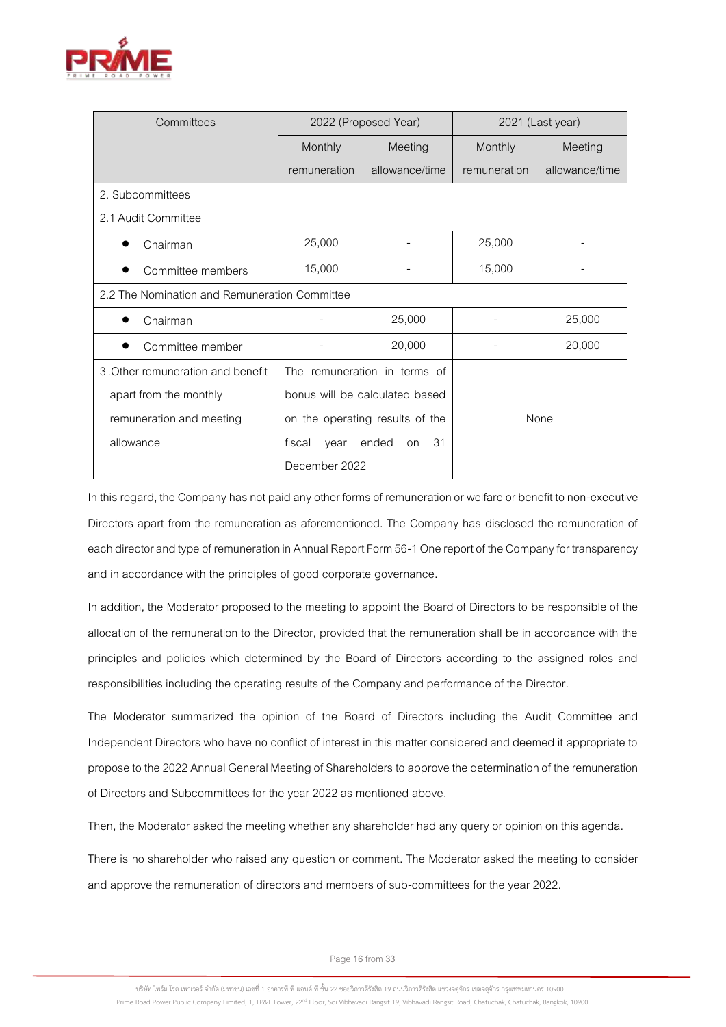

| Committees                                    | 2022 (Proposed Year)                |                              | 2021 (Last year) |                |
|-----------------------------------------------|-------------------------------------|------------------------------|------------------|----------------|
|                                               | Monthly                             | Meeting                      | Monthly          | Meeting        |
|                                               | remuneration                        | allowance/time               | remuneration     | allowance/time |
| 2. Subcommittees                              |                                     |                              |                  |                |
| 2.1 Audit Committee                           |                                     |                              |                  |                |
| Chairman                                      | 25,000                              |                              | 25,000           |                |
| Committee members                             | 15,000                              |                              | 15,000           |                |
| 2.2 The Nomination and Remuneration Committee |                                     |                              |                  |                |
| Chairman                                      |                                     | 25,000                       |                  | 25,000         |
| Committee member                              |                                     | 20,000                       |                  | 20,000         |
| 3. Other remuneration and benefit             |                                     | The remuneration in terms of |                  |                |
| apart from the monthly                        | bonus will be calculated based      |                              |                  |                |
| remuneration and meeting                      | on the operating results of the     |                              |                  | None           |
| allowance                                     | 31<br>fiscal<br>ended<br>year<br>on |                              |                  |                |
|                                               | December 2022                       |                              |                  |                |

In this regard, the Company has not paid any other forms of remuneration or welfare or benefit to non-executive Directors apart from the remuneration as aforementioned. The Company has disclosed the remuneration of each director and type of remuneration in Annual Report Form 56-1 One report of the Company for transparency and in accordance with the principles of good corporate governance.

In addition, the Moderator proposed to the meeting to appoint the Board of Directors to be responsible of the allocation of the remuneration to the Director, provided that the remuneration shall be in accordance with the principles and policies which determined by the Board of Directors according to the assigned roles and responsibilities including the operating results of the Company and performance of the Director.

The Moderator summarized the opinion of the Board of Directors including the Audit Committee and Independent Directors who have no conflict of interest in this matter considered and deemed it appropriate to propose to the 2022 Annual General Meeting of Shareholdersto approve the determination of the remuneration of Directors and Subcommittees for the year 2022 as mentioned above.

Then, the Moderator asked the meeting whether any shareholder had any query or opinion on this agenda.

There is no shareholder who raised any question or comment. The Moderator asked the meeting to consider and approve the remuneration of directors and members of sub-committees for the year 2022.

Page**16**from **33**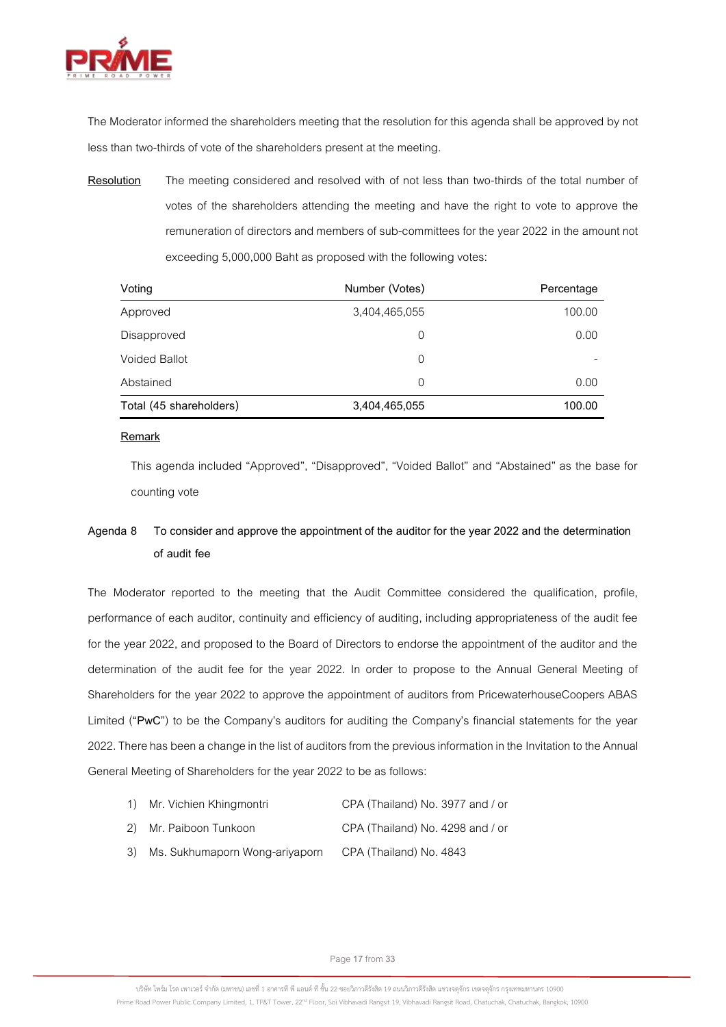

The Moderator informed the shareholders meeting that the resolution for this agenda shall be approved by not less than two-thirds of vote of the shareholders present at the meeting.

**Resolution** The meeting considered and resolved with of not less than two-thirds of the total number of votes of the shareholders attending the meeting and have the right to vote to approve the remuneration of directors and members of sub-committees for the year 2022 in the amount not exceeding 5,000,000 Baht as proposed with the following votes:

| Voting                  | Number (Votes) | Percentage |
|-------------------------|----------------|------------|
| Approved                | 3,404,465,055  | 100.00     |
| Disapproved             | 0              | 0.00       |
| <b>Voided Ballot</b>    | 0              |            |
| Abstained               | 0              | 0.00       |
| Total (45 shareholders) | 3,404,465,055  | 100.00     |

# **Remark**

This agenda included "Approved", "Disapproved", "Voided Ballot" and "Abstained" as the base for counting vote

# **Agenda 8 To consider and approve the appointment of the auditor for the year 2022 and the determination of audit fee**

The Moderator reported to the meeting that the Audit Committee considered the qualification, profile, performance of each auditor, continuity and efficiency of auditing, including appropriateness of the audit fee for the year 2022, and proposed to the Board of Directors to endorse the appointment of the auditor and the determination of the audit fee for the year 2022. In order to propose to the Annual General Meeting of Shareholders for the year 2022 to approve the appointment of auditors from PricewaterhouseCoopers ABAS Limited ("**PwC**") to be the Company's auditors for auditing the Company's financial statements for the year 2022. There has been a change in the list of auditors from the previous information in the Invitation to the Annual General Meeting of Shareholders for the year 2022 to be as follows:

| CPA (Thailand) No. 3977 and / or<br>1) Mr. Vichien Khingmontri |  |
|----------------------------------------------------------------|--|
|----------------------------------------------------------------|--|

- 2) Mr. Paiboon Tunkoon CPA (Thailand) No. 4298 and / or
- 3) Ms. Sukhumaporn Wong-ariyaporn CPA (Thailand) No. 4843

Page**17**from **33**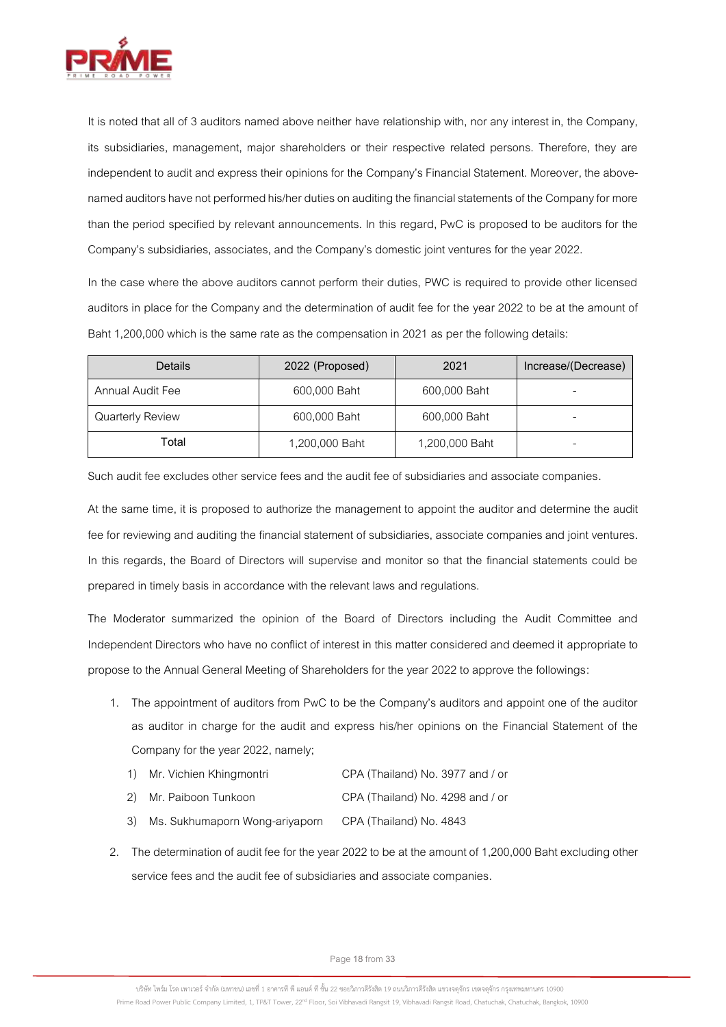

It is noted that all of 3 auditors named above neither have relationship with, nor any interest in, the Company, its subsidiaries, management, major shareholders or their respective related persons. Therefore, they are independent to audit and express their opinions for the Company's Financial Statement. Moreover, the abovenamed auditors have not performed his/her duties on auditing the financial statements of the Company for more than the period specified by relevant announcements. In this regard, PwC is proposed to be auditors for the Company's subsidiaries, associates, and the Company's domestic joint ventures for the year 2022.

In the case where the above auditors cannot perform their duties, PWC is required to provide other licensed auditors in place for the Company and the determination of audit fee for the year 2022 to be at the amount of Baht 1,200,000 which is the same rate as the compensation in 2021 as per the following details:

| Details                 | 2022 (Proposed) | 2021           | Increase/(Decrease) |
|-------------------------|-----------------|----------------|---------------------|
| Annual Audit Fee        | 600,000 Baht    | 600,000 Baht   |                     |
| <b>Quarterly Review</b> | 600,000 Baht    | 600,000 Baht   |                     |
| Total                   | 1,200,000 Baht  | 1,200,000 Baht |                     |

Such audit fee excludes other service fees and the audit fee of subsidiaries and associate companies.

At the same time, it is proposed to authorize the management to appoint the auditor and determine the audit fee for reviewing and auditing the financial statement of subsidiaries, associate companies and joint ventures. In this regards, the Board of Directors will supervise and monitor so that the financial statements could be prepared in timely basis in accordance with the relevant laws and regulations.

The Moderator summarized the opinion of the Board of Directors including the Audit Committee and Independent Directors who have no conflict of interest in this matter considered and deemed it appropriate to propose to the Annual General Meeting of Shareholders for the year 2022 to approve the followings:

- 1. The appointment of auditors from PwC to be the Company's auditors and appoint one of the auditor as auditor in charge for the audit and express his/her opinions on the Financial Statement of the Company for the year 2022, namely;
	- 1) Mr. Vichien Khingmontri CPA (Thailand) No. 3977 and / or
	- 2) Mr. Paiboon Tunkoon CPA (Thailand) No. 4298 and / or
	- 3) Ms. Sukhumaporn Wong-ariyaporn CPA (Thailand) No. 4843
- 2. The determination of audit fee for the year 2022 to be at the amount of 1,200,000 Baht excluding other service fees and the audit fee of subsidiaries and associate companies.

Page**18**from **33**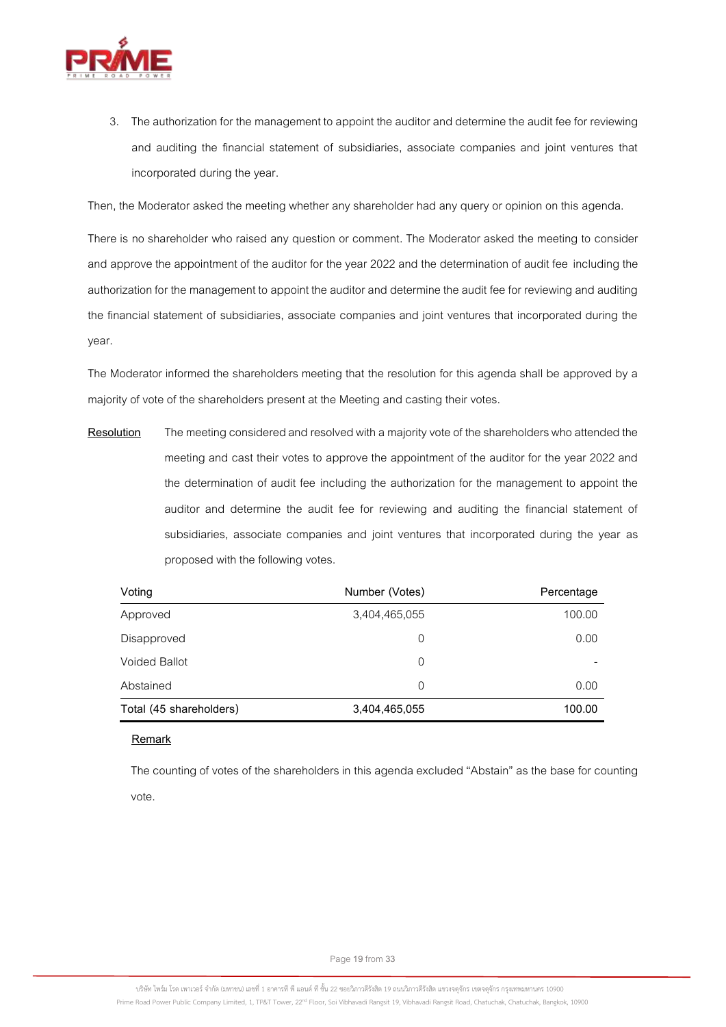

3. The authorization for the management to appoint the auditor and determine the audit fee for reviewing and auditing the financial statement of subsidiaries, associate companies and joint ventures that incorporated during the year.

Then, the Moderator asked the meeting whether any shareholder had any query or opinion on this agenda.

There is no shareholder who raised any question or comment. The Moderator asked the meeting to consider and approve the appointment of the auditor for the year 2022 and the determination of audit fee including the authorization for the management to appoint the auditor and determine the audit fee for reviewing and auditing the financial statement of subsidiaries, associate companies and joint ventures that incorporated during the year.

The Moderator informed the shareholders meeting that the resolution for this agenda shall be approved by a majority of vote of the shareholders present at the Meeting and casting their votes.

**Resolution** The meeting considered and resolved with a majority vote of the shareholders who attended the meeting and cast their votes to approve the appointment of the auditor for the year 2022 and the determination of audit fee including the authorization for the management to appoint the auditor and determine the audit fee for reviewing and auditing the financial statement of subsidiaries, associate companies and joint ventures that incorporated during the year as proposed with the following votes.

| Voting                  | Number (Votes) | Percentage |
|-------------------------|----------------|------------|
| Approved                | 3,404,465,055  | 100.00     |
| Disapproved             | 0              | 0.00       |
| Voided Ballot           | 0              |            |
| Abstained               | 0              | 0.00       |
| Total (45 shareholders) | 3,404,465,055  | 100.00     |

**Remark**

The counting of votes of the shareholders in this agenda excluded "Abstain" as the base for counting vote.

Page**19**from **33**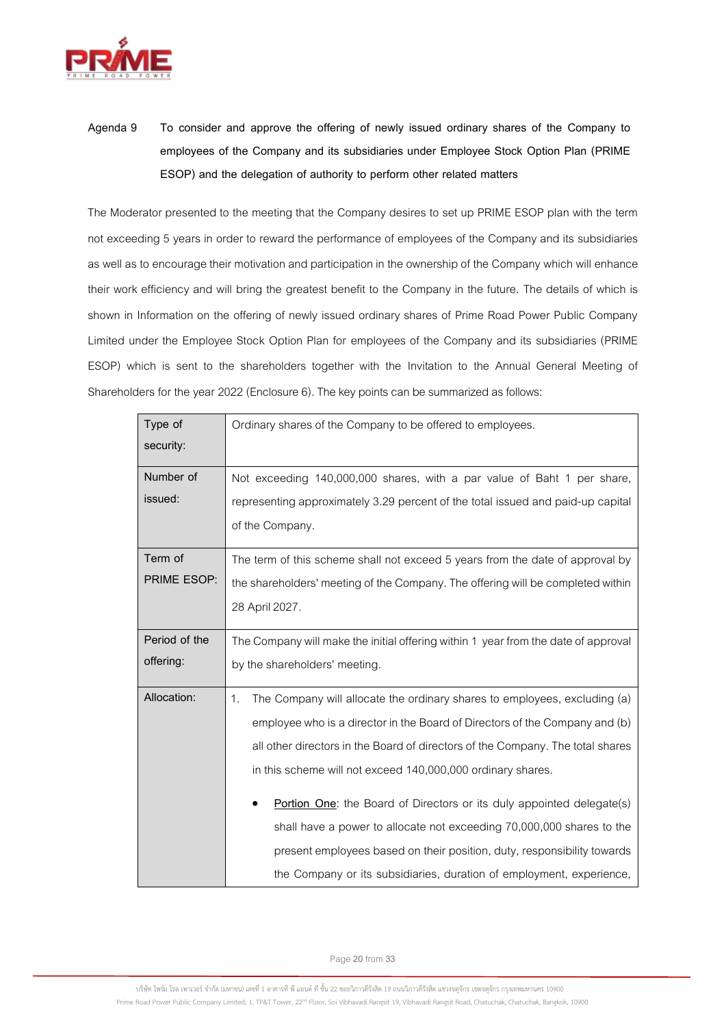

**Agenda 9 To consider and approve the offering of newly issued ordinary shares of the Company to employees of the Company and its subsidiaries under Employee Stock Option Plan (PRIME ESOP) and the delegation of authority to perform other related matters**

The Moderator presented to the meeting that the Company desires to set up PRIME ESOP plan with the term not exceeding 5 years in order to reward the performance of employees of the Company and its subsidiaries as well as to encourage their motivation and participation in the ownership of the Company which will enhance their work efficiency and will bring the greatest benefit to the Company in the future. The details of which is shown in Information on the offering of newly issued ordinary shares of Prime Road Power Public Company Limited under the Employee Stock Option Plan for employees of the Company and its subsidiaries (PRIME ESOP) which is sent to the shareholders together with the Invitation to the Annual General Meeting of Shareholders for the year 2022(Enclosure 6). The key points can be summarized as follows:

| Type of       | Ordinary shares of the Company to be offered to employees.                         |
|---------------|------------------------------------------------------------------------------------|
| security:     |                                                                                    |
| Number of     | Not exceeding 140,000,000 shares, with a par value of Baht 1 per share,            |
| issued:       | representing approximately 3.29 percent of the total issued and paid-up capital    |
|               | of the Company.                                                                    |
| Term of       | The term of this scheme shall not exceed 5 years from the date of approval by      |
| PRIME ESOP:   | the shareholders' meeting of the Company. The offering will be completed within    |
|               | 28 April 2027.                                                                     |
| Period of the | The Company will make the initial offering within 1 year from the date of approval |
| offering:     | by the shareholders' meeting.                                                      |
| Allocation:   | 1.<br>The Company will allocate the ordinary shares to employees, excluding (a)    |
|               | employee who is a director in the Board of Directors of the Company and (b)        |
|               | all other directors in the Board of directors of the Company. The total shares     |
|               | in this scheme will not exceed 140,000,000 ordinary shares.                        |
|               | Portion One: the Board of Directors or its duly appointed delegate(s)              |
|               | shall have a power to allocate not exceeding 70,000,000 shares to the              |
|               | present employees based on their position, duty, responsibility towards            |
|               | the Company or its subsidiaries, duration of employment, experience,               |

Page**20**from **33**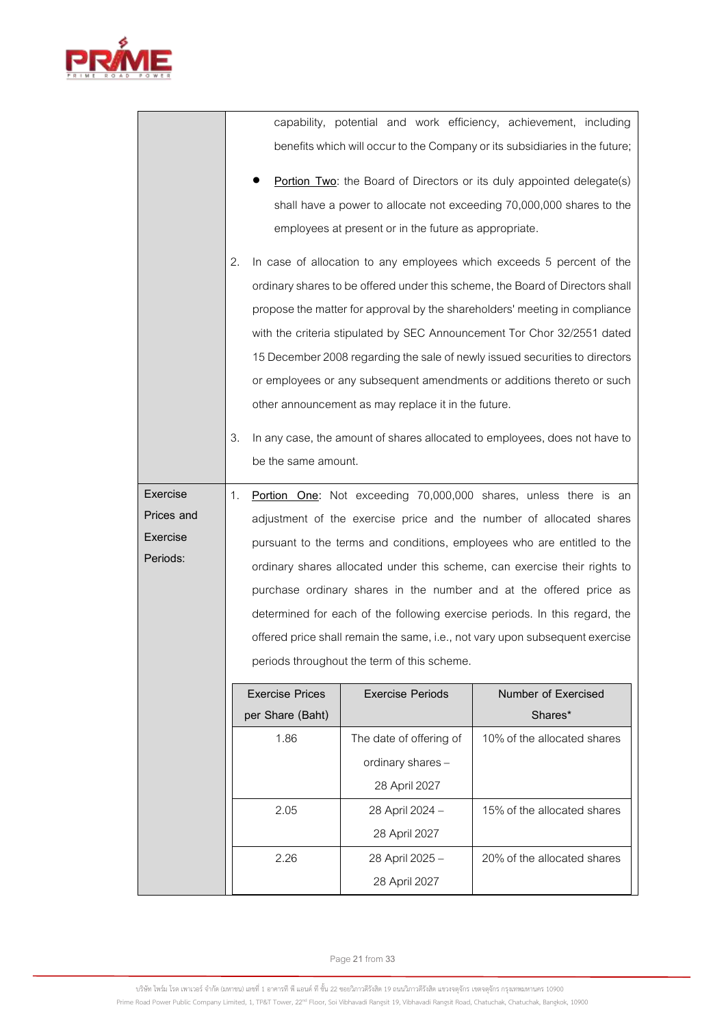

|  |  |  | capability, potential and work efficiency, achievement, including           |  |
|--|--|--|-----------------------------------------------------------------------------|--|
|  |  |  | benefits which will occur to the Company or its subsidiaries in the future; |  |
|  |  |  |                                                                             |  |

- **Portion Two**: the Board of Directors or its duly appointed delegate(s) shall have a power to allocate not exceeding 70,000,000 shares to the employees at present or in the future as appropriate.
- 2. In case of allocation to any employees which exceeds 5 percent of the ordinary shares to be offered under this scheme, the Board of Directors shall propose the matter for approval by the shareholders' meeting in compliance with the criteria stipulated by SEC Announcement Tor Chor 32/2551 dated 15 December 2008 regarding the sale of newly issued securities to directors or employees or any subsequent amendments or additions thereto or such other announcement as may replace it in the future.
- 3. In any case, the amount of shares allocated to employees, does not have to be the same amount.

**Exercise Prices and Exercise Periods:** 1. **Portion One:** Not exceeding 70,000,000 shares, unless there is an adjustment of the exercise price and the number of allocated shares pursuant to the terms and conditions, employees who are entitled to the ordinary shares allocated under this scheme, can exercise their rights to purchase ordinary shares in the number and at the offered price as determined for each of the following exercise periods. In this regard, the offered price shall remain the same, i.e., not vary upon subsequent exercise periods throughout the term of this scheme.

| <b>Exercise Prices</b> | <b>Exercise Periods</b> | Number of Exercised         |
|------------------------|-------------------------|-----------------------------|
| per Share (Baht)       |                         | Shares*                     |
| 1.86                   | The date of offering of | 10% of the allocated shares |
|                        | ordinary shares -       |                             |
|                        | 28 April 2027           |                             |
| 2.05                   | 28 April 2024 -         | 15% of the allocated shares |
|                        | 28 April 2027           |                             |
| 2.26                   | 28 April 2025 -         | 20% of the allocated shares |
|                        | 28 April 2027           |                             |

Page**21**from **33**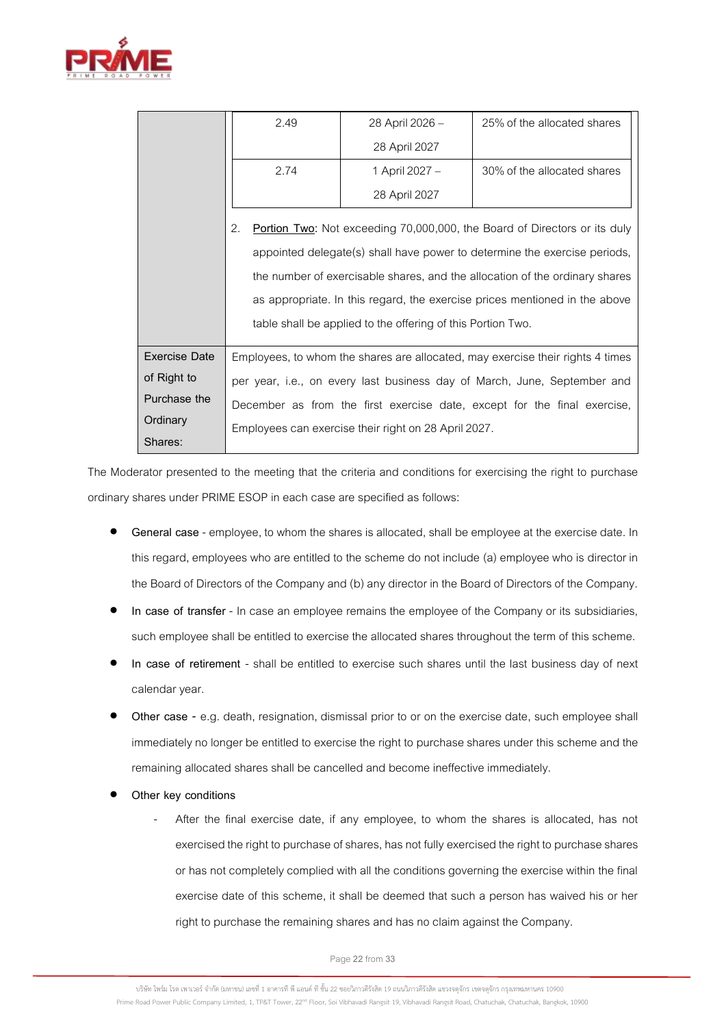

|                      | 2.49                                                                        | 28 April 2026 -                                             | 25% of the allocated shares                                                      |  |
|----------------------|-----------------------------------------------------------------------------|-------------------------------------------------------------|----------------------------------------------------------------------------------|--|
|                      |                                                                             | 28 April 2027                                               |                                                                                  |  |
|                      | 2.74                                                                        | 1 April 2027 -                                              | 30% of the allocated shares                                                      |  |
|                      |                                                                             | 28 April 2027                                               |                                                                                  |  |
|                      | 2.                                                                          |                                                             | <b>Portion Two:</b> Not exceeding 70,000,000, the Board of Directors or its duly |  |
|                      |                                                                             |                                                             | appointed delegate(s) shall have power to determine the exercise periods,        |  |
|                      | the number of exercisable shares, and the allocation of the ordinary shares |                                                             |                                                                                  |  |
|                      | as appropriate. In this regard, the exercise prices mentioned in the above  |                                                             |                                                                                  |  |
|                      |                                                                             | table shall be applied to the offering of this Portion Two. |                                                                                  |  |
| <b>Exercise Date</b> |                                                                             |                                                             | Employees, to whom the shares are allocated, may exercise their rights 4 times   |  |
| of Right to          | per year, i.e., on every last business day of March, June, September and    |                                                             |                                                                                  |  |
| Purchase the         |                                                                             |                                                             | December as from the first exercise date, except for the final exercise,         |  |
| Ordinary             |                                                                             | Employees can exercise their right on 28 April 2027.        |                                                                                  |  |
| Shares:              |                                                                             |                                                             |                                                                                  |  |

The Moderator presented to the meeting that the criteria and conditions for exercising the right to purchase ordinary shares under PRIME ESOP in each case are specified as follows:

- General case employee, to whom the shares is allocated, shall be employee at the exercise date. In this regard, employees who are entitled to the scheme do not include (a) employee who is director in the Board of Directors of the Company and (b) any director in the Board of Directors of the Company.
- **In case of transfer** In case an employee remains the employee of the Company or its subsidiaries, such employee shall be entitled to exercise the allocated shares throughout the term of this scheme.
- **In case of retirement**  shall be entitled to exercise such shares until the last business day of next calendar year.
- **Other case -** e.g. death, resignation, dismissal prior to or on the exercise date, such employee shall immediately no longer be entitled to exercise the right to purchase shares under this scheme and the remaining allocated shares shall be cancelled and become ineffective immediately.
- **Other key conditions**
	- After the final exercise date, if any employee, to whom the shares is allocated, has not exercised the right to purchase of shares, has not fully exercised the right to purchase shares or has not completely complied with all the conditions governing the exercise within the final exercise date of this scheme, it shall be deemed that such a person has waived his or her right to purchase the remaining shares and has no claim against the Company.

Page**22**from **33**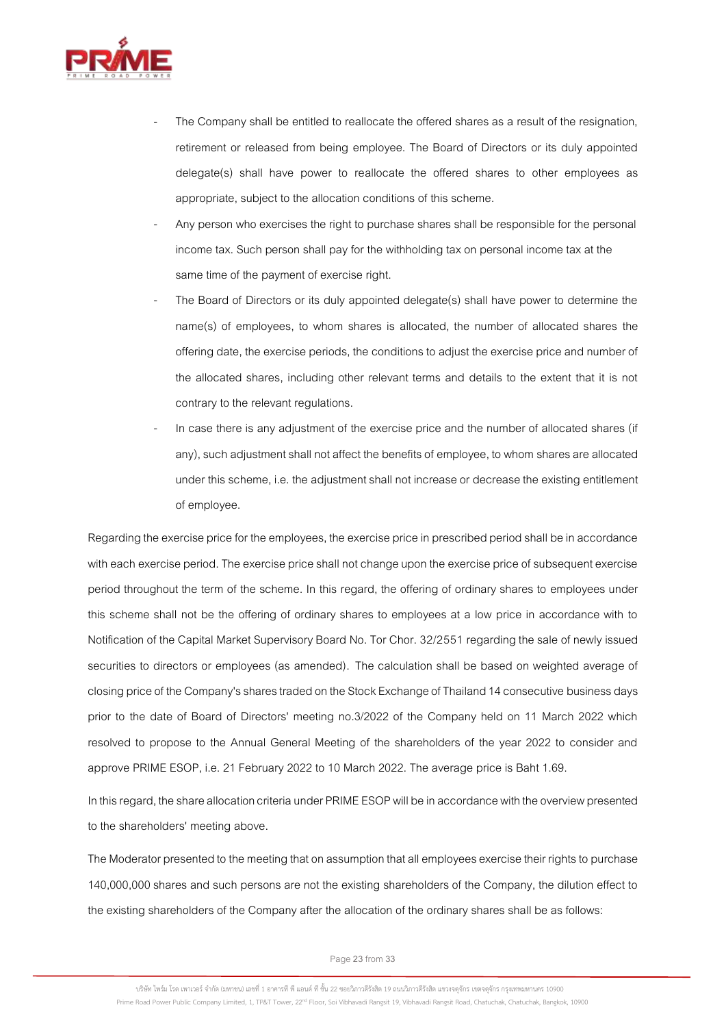

- The Company shall be entitled to reallocate the offered shares as a result of the resignation, retirement or released from being employee. The Board of Directors or its duly appointed delegate(s) shall have power to reallocate the offered shares to other employees as appropriate, subject to the allocation conditions of this scheme.
- Any person who exercises the right to purchase shares shall be responsible for the personal income tax. Such person shall pay for the withholding tax on personal income tax at the same time of the payment of exercise right.
- The Board of Directors or its duly appointed delegate(s) shall have power to determine the name(s) of employees, to whom shares is allocated, the number of allocated shares the offering date, the exercise periods, the conditions to adjust the exercise price and number of the allocated shares, including other relevant terms and details to the extent that it is not contrary to the relevant regulations.
- In case there is any adjustment of the exercise price and the number of allocated shares (if any), such adjustment shall not affect the benefits of employee, to whom shares are allocated under this scheme, i.e. the adjustment shall not increase or decrease the existing entitlement of employee.

Regarding the exercise price for the employees, the exercise price in prescribed period shall be in accordance with each exercise period. The exercise price shall not change upon the exercise price of subsequent exercise period throughout the term of the scheme. In this regard, the offering of ordinary shares to employees under this scheme shall not be the offering of ordinary shares to employees at a low price in accordance with to Notification of the Capital Market Supervisory Board No. Tor Chor. 32/2551 regarding the sale of newly issued securities to directors or employees (as amended). The calculation shall be based on weighted average of closing price of the Company's shares traded on the Stock Exchange of Thailand 14 consecutive business days prior to the date of Board of Directors' meeting no.3/2022 of the Company held on 11 March 2022 which resolved to propose to the Annual General Meeting of the shareholders of the year 2022 to consider and approve PRIME ESOP, i.e. 21 February 2022 to 10 March 2022. The average price is Baht 1.69.

In this regard, the share allocation criteria under PRIME ESOP will be in accordance with the overview presented to the shareholders' meeting above.

The Moderator presented to the meeting that on assumption that all employees exercise their rights to purchase 140,000,000 shares and such persons are not the existing shareholders of the Company, the dilution effect to the existing shareholders of the Company after the allocation of the ordinary shares shall be as follows:

Page**23**from **33**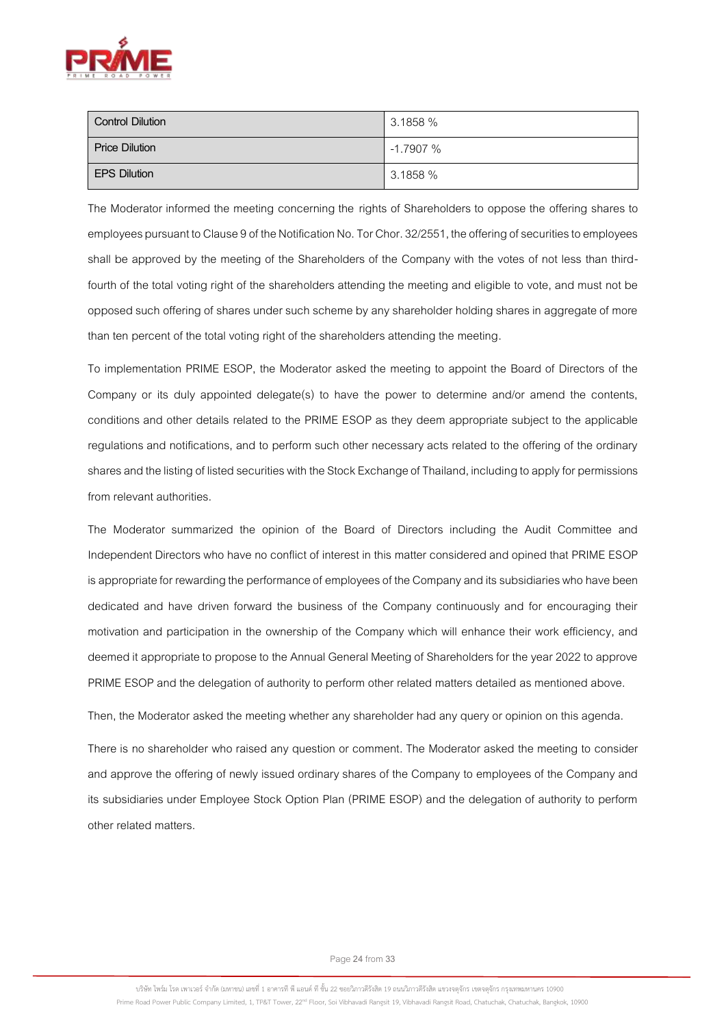

| <b>Control Dilution</b> | 3.1858%    |
|-------------------------|------------|
| <b>Price Dilution</b>   | $-1.7907%$ |
| <b>EPS Dilution</b>     | 3.1858 %   |

The Moderator informed the meeting concerning the rights of Shareholders to oppose the offering shares to employees pursuant to Clause 9 of the Notification No. Tor Chor. 32/2551, the offering of securities to employees shall be approved by the meeting of the Shareholders of the Company with the votes of not less than thirdfourth of the total voting right of the shareholders attending the meeting and eligible to vote, and must not be opposed such offering of shares under such scheme by any shareholder holding shares in aggregate of more than ten percent of the total voting right of the shareholders attending the meeting.

To implementation PRIME ESOP, the Moderator asked the meeting to appoint the Board of Directors of the Company or its duly appointed delegate(s) to have the power to determine and/or amend the contents, conditions and other details related to the PRIME ESOP as they deem appropriate subject to the applicable regulations and notifications, and to perform such other necessary acts related to the offering of the ordinary shares and the listing of listed securities with the Stock Exchange of Thailand, including to apply for permissions from relevant authorities.

The Moderator summarized the opinion of the Board of Directors including the Audit Committee and Independent Directors who have no conflict of interest in this matter considered and opined that PRIME ESOP is appropriate for rewarding the performance of employees of the Company and its subsidiaries who have been dedicated and have driven forward the business of the Company continuously and for encouraging their motivation and participation in the ownership of the Company which will enhance their work efficiency, and deemed it appropriate to propose to the Annual General Meeting of Shareholders for the year 2022 to approve PRIME ESOP and the delegation of authority to perform other related matters detailed as mentioned above.

Then, the Moderator asked the meeting whether any shareholder had any query or opinion on this agenda.

There is no shareholder who raised any question or comment. The Moderator asked the meeting to consider and approve the offering of newly issued ordinary shares of the Company to employees of the Company and its subsidiaries under Employee Stock Option Plan (PRIME ESOP) and the delegation of authority to perform other related matters.

Page**24**from **33**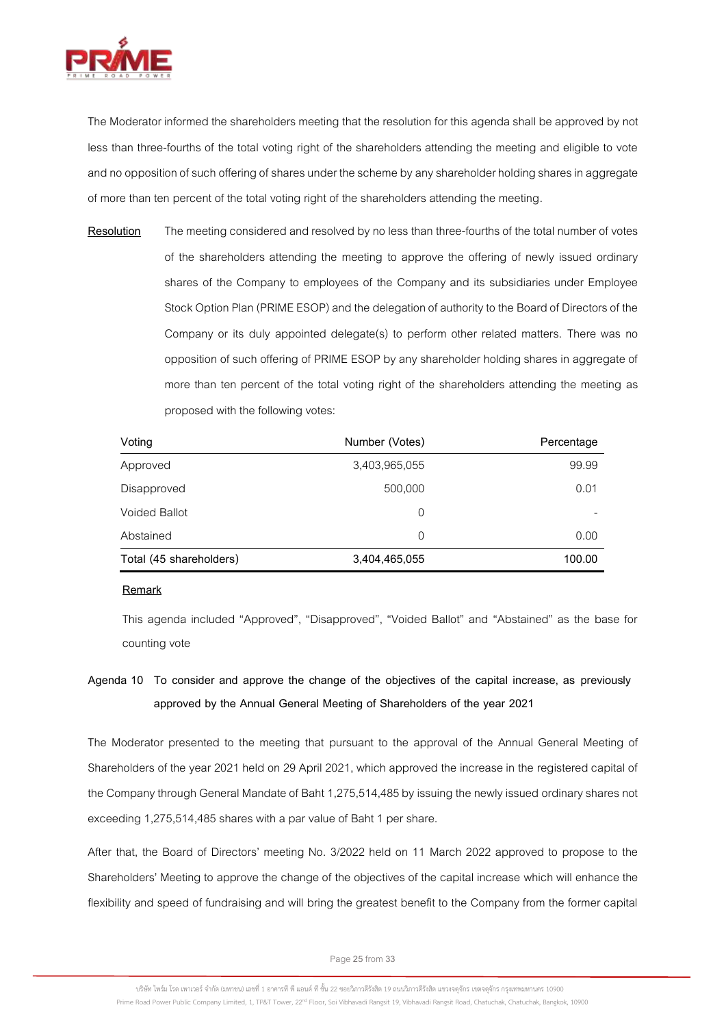

The Moderator informed the shareholders meeting that the resolution for this agenda shall be approved by not less than three-fourths of the total voting right of the shareholders attending the meeting and eligible to vote and no opposition of such offering of shares under the scheme by any shareholder holding shares in aggregate of more than ten percent of the total voting right of the shareholders attending the meeting.

**Resolution** The meeting considered and resolved by no less than three-fourths of the total number of votes of the shareholders attending the meeting to approve the offering of newly issued ordinary shares of the Company to employees of the Company and its subsidiaries under Employee Stock Option Plan (PRIME ESOP) and the delegation of authority to the Board of Directors of the Company or its duly appointed delegate(s) to perform other related matters. There was no opposition of such offering of PRIME ESOP by any shareholder holding shares in aggregate of more than ten percent of the total voting right of the shareholders attending the meeting as proposed with the following votes:

| Voting                  | Number (Votes) | Percentage |
|-------------------------|----------------|------------|
| Approved                | 3,403,965,055  | 99.99      |
| Disapproved             | 500,000        | 0.01       |
| <b>Voided Ballot</b>    | 0              |            |
| Abstained               | $\Omega$       | 0.00       |
| Total (45 shareholders) | 3,404,465,055  | 100.00     |

#### **Remark**

This agenda included "Approved", "Disapproved", "Voided Ballot" and "Abstained" as the base for counting vote

# **Agenda 10 To consider and approve the change of the objectives of the capital increase, as previously approved by the Annual General Meeting of Shareholders of the year 2021**

The Moderator presented to the meeting that pursuant to the approval of the Annual General Meeting of Shareholders of the year 2021 held on 29 April 2021, which approved the increase in the registered capital of the Company through General Mandate of Baht 1,275,514,485 by issuing the newly issued ordinary shares not exceeding 1,275,514,485 shares with a par value of Baht 1 per share.

After that, the Board of Directors' meeting No. 3/2022 held on 11 March 2022 approved to propose to the Shareholders' Meeting to approve the change of the objectives of the capital increase which will enhance the flexibility and speed of fundraising and will bring the greatest benefit to the Company from the former capital

Page**25**from **33**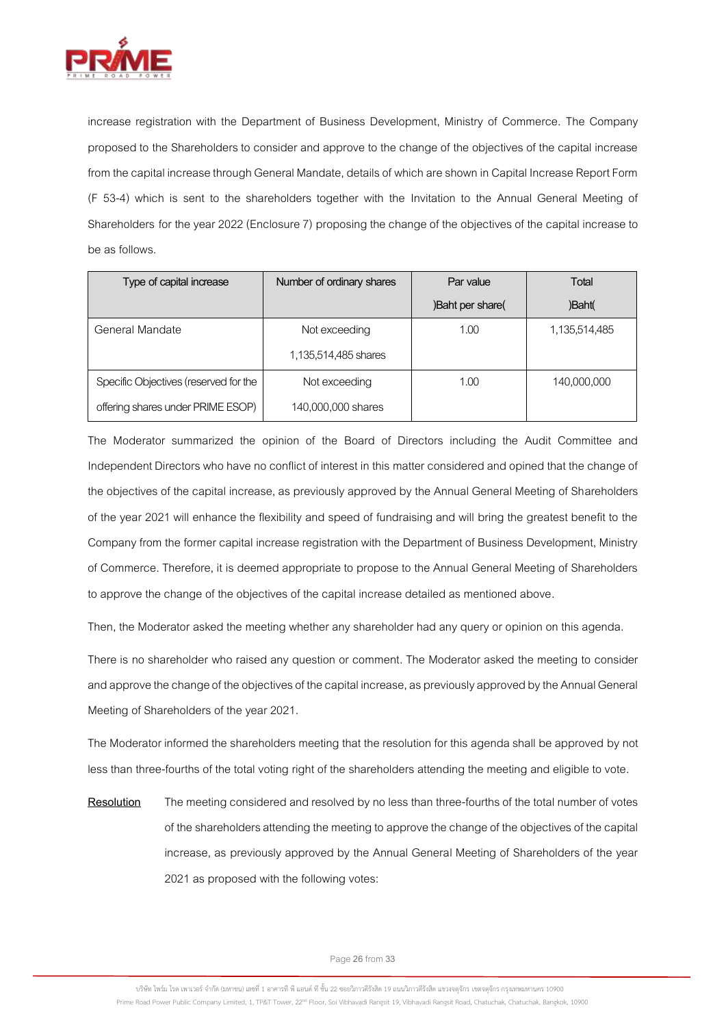

increase registration with the Department of Business Development, Ministry of Commerce. The Company proposed to the Shareholders to consider and approve to the change of the objectives of the capital increase from the capital increase through General Mandate, details of which are shown in Capital Increase Report Form (F 53-4) which is sent to the shareholders together with the Invitation to the Annual General Meeting of Shareholders for the year 2022 (Enclosure 7) proposing the change of the objectives of the capital increase to be as follows.

| Type of capital increase              | Number of ordinary shares | Par value        | Total         |
|---------------------------------------|---------------------------|------------------|---------------|
|                                       |                           | )Baht per share( | )Baht(        |
| General Mandate                       | Not exceeding             | 1.00             | 1,135,514,485 |
|                                       | 1,135,514,485 shares      |                  |               |
| Specific Objectives (reserved for the | Not exceeding             | 1.00             | 140,000,000   |
| offering shares under PRIME ESOP)     | 140,000,000 shares        |                  |               |

The Moderator summarized the opinion of the Board of Directors including the Audit Committee and Independent Directors who have no conflict of interest in this matter considered and opined that the change of the objectives of the capital increase, as previously approved by the Annual General Meeting of Shareholders of the year 2021 will enhance the flexibility and speed of fundraising and will bring the greatest benefit to the Company from the former capital increase registration with the Department of Business Development, Ministry of Commerce. Therefore, it is deemed appropriate to propose to the Annual General Meeting of Shareholders to approve the change of the objectives of the capital increase detailed as mentioned above.

Then, the Moderator asked the meeting whether any shareholder had any query or opinion on this agenda.

There is no shareholder who raised any question or comment. The Moderator asked the meeting to consider and approve the change of the objectives of the capital increase, as previously approved by the Annual General Meeting of Shareholders of the year 2021.

The Moderator informed the shareholders meeting that the resolution for this agenda shall be approved by not less than three-fourths of the total voting right of the shareholders attending the meeting and eligible to vote.

**Resolution** The meeting considered and resolved by no less than three-fourths of the total number of votes of the shareholders attending the meeting to approvethe change of the objectives of the capital increase, as previously approved by the Annual General Meeting of Shareholders of the year 2021as proposed with the following votes:

Page**26**from **33**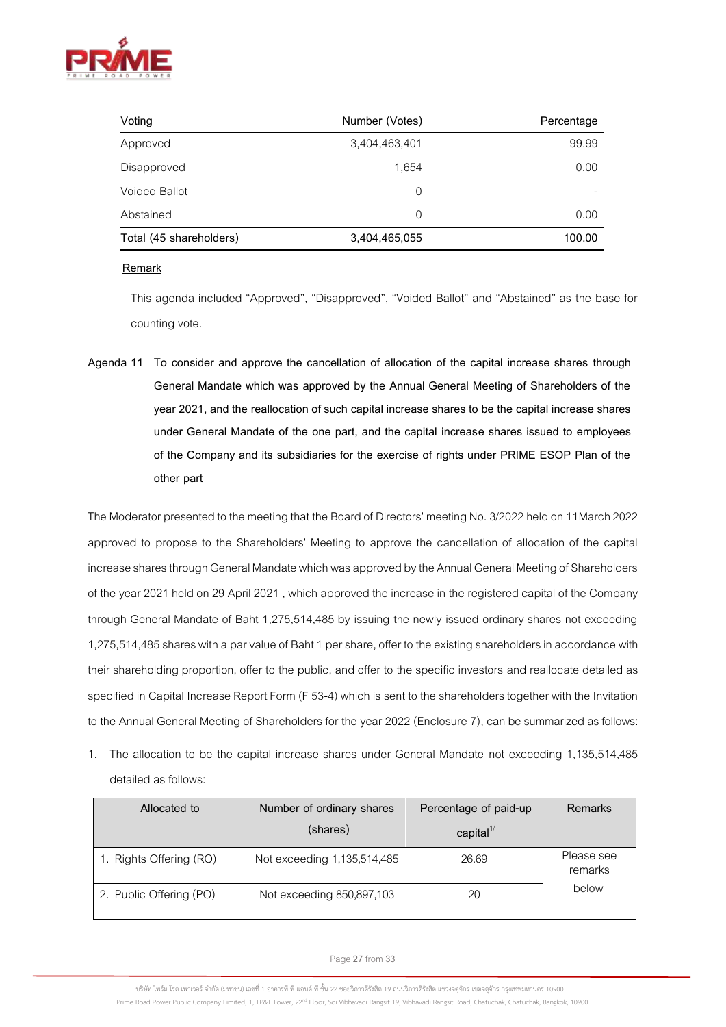

| Voting                  | Number (Votes) | Percentage |
|-------------------------|----------------|------------|
| Approved                | 3,404,463,401  | 99.99      |
| Disapproved             | 1.654          | 0.00       |
| <b>Voided Ballot</b>    | 0              |            |
| Abstained               | $\mathbf 0$    | 0.00       |
| Total (45 shareholders) | 3,404,465,055  | 100.00     |

## **Remark**

This agenda included "Approved", "Disapproved", "Voided Ballot" and "Abstained" as the base for counting vote.

**Agenda 11 To consider and approve the cancellation of allocation of the capital increase shares through General Mandate which was approved by the Annual General Meeting of Shareholders of the year 2021, and the reallocation of such capital increase shares to be the capital increase shares under General Mandate of the one part, and the capital increase shares issued to employees of the Company and its subsidiaries for the exercise of rights under PRIME ESOP Plan of the other part**

The Moderator presented to the meeting that the Board of Directors' meeting No. 3/2022 held on 11March 2022 approved to propose to the Shareholders' Meeting to approve the cancellation of allocation of the capital increase shares through General Mandate which was approved by the Annual General Meeting of Shareholders of the year 2021 held on 29 April 2021, which approved the increase in the registered capital of the Company through General Mandate of Baht 1,275,514,485 by issuing the newly issued ordinary shares not exceeding 1,275,514,485 shares with a par value of Baht 1 per share, offer to the existing shareholders in accordance with their shareholding proportion, offer to the public, and offer to the specific investors and reallocate detailed as specified in Capital Increase Report Form (F 53-4) which is sent to the shareholders together with the Invitation to the Annual General Meeting of Shareholders for the year 2022 (Enclosure 7), can be summarized as follows:

1. The allocation to be the capital increase shares under General Mandate not exceeding 1,135,514,485 detailed as follows:

| Allocated to            | Number of ordinary shares<br>(shares) | Percentage of paid-up<br>$\text{capital}^{\frac{1}{}}$ | Remarks               |
|-------------------------|---------------------------------------|--------------------------------------------------------|-----------------------|
| 1. Rights Offering (RO) | Not exceeding 1,135,514,485           | 26.69                                                  | Please see<br>remarks |
| 2. Public Offering (PO) | Not exceeding 850,897,103             | 20                                                     | below                 |

Page**27**from **33**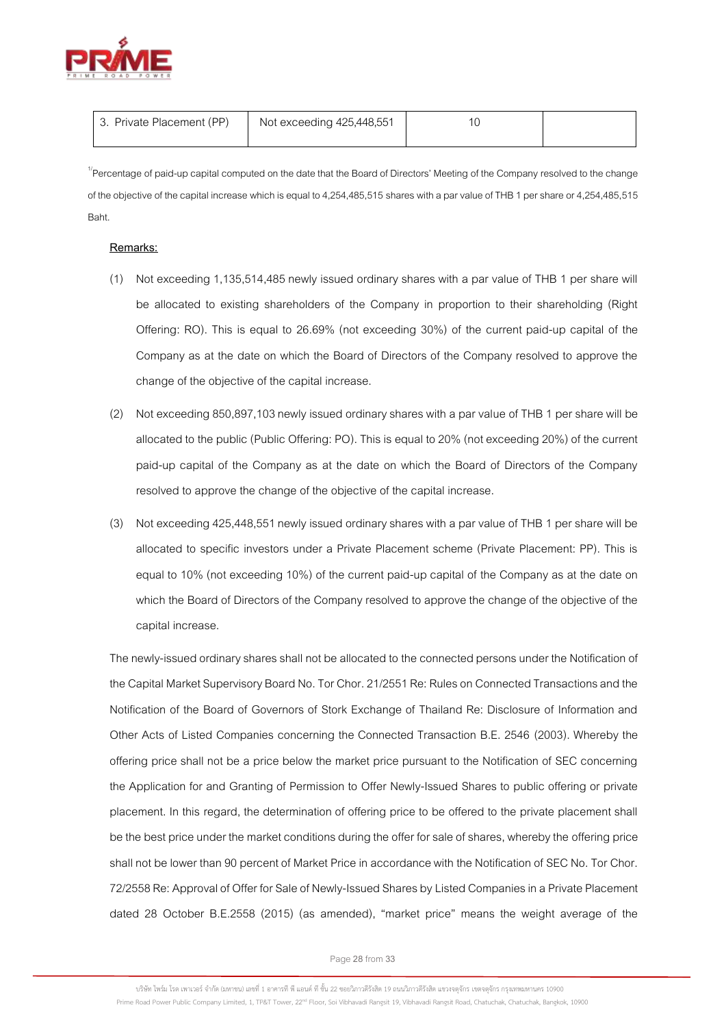

| 3. Private Placement (PP) | Not exceeding 425,448,551 |  |
|---------------------------|---------------------------|--|
|                           |                           |  |

<sup>1/</sup>Percentage of paid-up capital computed on the date that the Board of Directors' Meeting of the Company resolved to the change of the objective of the capital increase which is equal to 4,254,485,515 shares with a par value of THB 1 per share or 4,254,485,515 Baht.

## **Remarks:**

- (1) Not exceeding 1,135,514,485 newly issued ordinary shares with a par value of THB 1 per share will be allocated to existing shareholders of the Company in proportion to their shareholding (Right Offering: RO). This is equal to 26.69% (not exceeding 30%) of the current paid-up capital of the Company as at the date on which the Board of Directors of the Company resolved to approve the change of the objective of the capital increase.
- (2) Not exceeding 850,897,103 newly issued ordinary shares with a par value of THB 1 per share will be allocated to the public (Public Offering: PO). This is equal to 20% (not exceeding 20%) of the current paid-up capital of the Company as at the date on which the Board of Directors of the Company resolved to approve the change of the objective of the capital increase.
- (3) Not exceeding 425,448,551 newly issued ordinary shares with a par value of THB 1 per share will be allocated to specific investors under a Private Placement scheme (Private Placement: PP). This is equal to 10% (not exceeding 10%) of the current paid-up capital of the Company as at the date on which the Board of Directors of the Company resolved to approve the change of the objective of the capital increase.

The newly-issued ordinary shares shall not be allocated tothe connected persons under the Notification of the Capital Market Supervisory Board No. Tor Chor. 21/2551 Re: Rules on Connected Transactions and the Notification of the Board of Governors of Stork Exchange of Thailand Re: Disclosure of Information and Other Acts of Listed Companies concerning the Connected Transaction B.E. 2546 (2003). Whereby the offering price shall not be a price below the market price pursuant to the Notification of SEC concerning the Application for and Granting of Permission to Offer Newly-Issued Shares to public offering or private placement. In this regard, the determination of offering price to be offered to the private placement shall be the best price under the market conditions during the offer for sale of shares, whereby the offering price shall not be lower than 90 percent of Market Price in accordance with the Notification of SEC No. Tor Chor. 72/2558 Re: Approval of Offer for Sale of Newly-Issued Shares by Listed Companies in a Private Placement dated 28 October B.E.2558 (2015) (as amended), "market price" means the weight average of the

Page**28**from **33**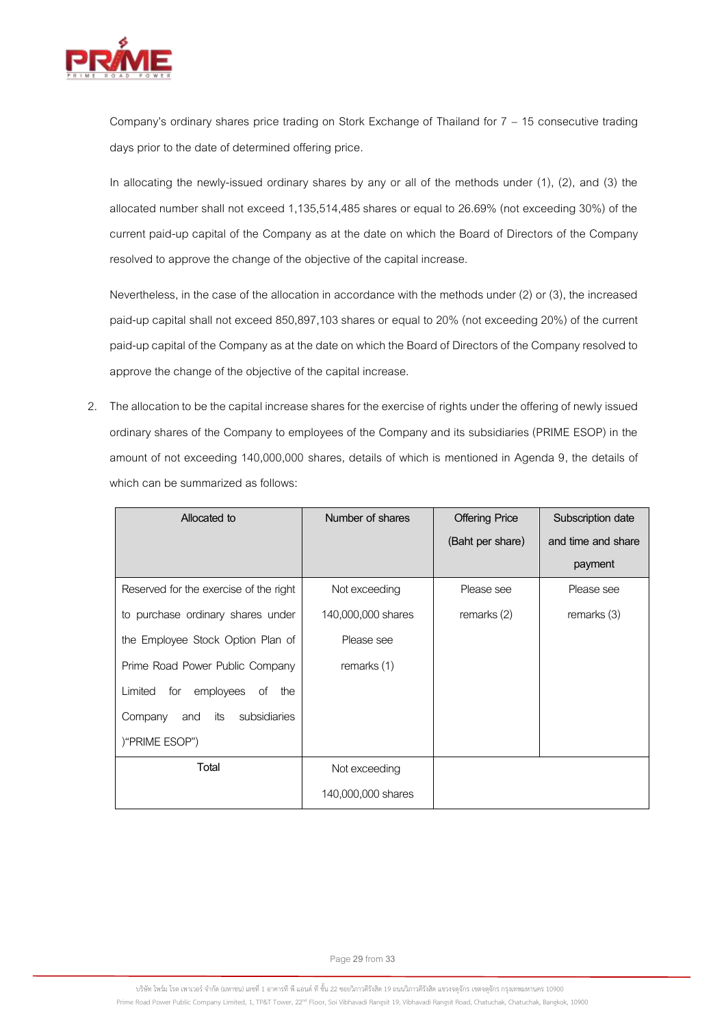

Company's ordinary shares price trading on Stork Exchange of Thailand for 7 – 15 consecutive trading days prior to the date of determined offering price.

In allocating the newly-issued ordinary shares by any or all of the methods under (1), (2), and (3) the allocated number shall not exceed 1,135,514,485 shares or equal to 26.69% (not exceeding 30%) of the current paid-up capital of the Company as at the date on which the Board of Directors of the Company resolved to approve the change of the objective of the capital increase.

Nevertheless, in the case of the allocation in accordance with the methods under (2) or (3), the increased paid-up capital shall not exceed 850,897,103 shares or equal to 20% (not exceeding 20%) of the current paid-up capital of the Company as at the date on which the Board of Directors of the Company resolved to approve the change of the objective of the capital increase.

2. The allocation to be the capital increase shares for the exercise of rights under the offering of newly issued ordinary shares of the Company to employees of the Company and its subsidiaries (PRIME ESOP) in the amount of not exceeding 140,000,000 shares, details of which is mentioned in Agenda 9, the details of which can be summarized as follows:

| Allocated to                             | Number of shares   | <b>Offering Price</b> | Subscription date  |
|------------------------------------------|--------------------|-----------------------|--------------------|
|                                          |                    | (Baht per share)      | and time and share |
|                                          |                    |                       | payment            |
| Reserved for the exercise of the right   | Not exceeding      | Please see            | Please see         |
| to purchase ordinary shares under        | 140,000,000 shares | remarks (2)           | remarks (3)        |
| the Employee Stock Option Plan of        | Please see         |                       |                    |
| Prime Road Power Public Company          | remarks (1)        |                       |                    |
| employees<br>Limited<br>for<br>of<br>the |                    |                       |                    |
| Company<br>subsidiaries<br>its<br>and    |                    |                       |                    |
| )"PRIME ESOP")                           |                    |                       |                    |
| Total                                    | Not exceeding      |                       |                    |
|                                          | 140,000,000 shares |                       |                    |

Page**29**from **33**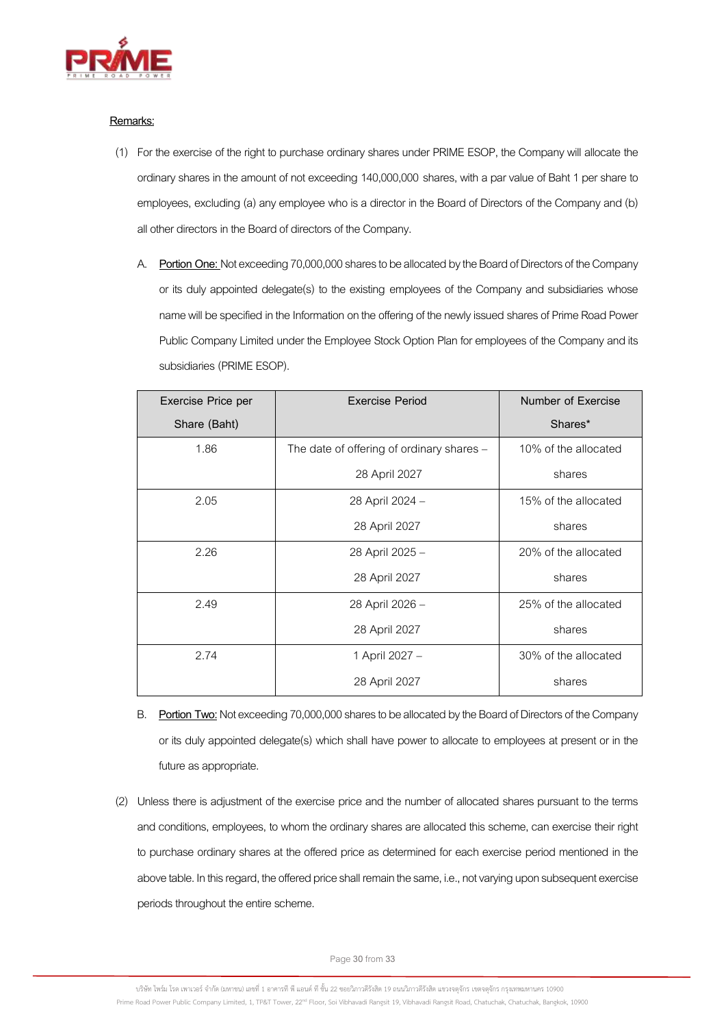

## **Remarks:**

- (1) For the exercise of the right to purchase ordinary shares under PRIME ESOP, the Company will allocate the ordinary shares in the amount of not exceeding 140,000,000 shares, with a par value of Baht 1 per share to employees, excluding (a) any employee who is a director in the Board of Directors of the Company and (b) all other directors in the Board of directors of the Company.
	- A. **Portion One:** Not exceeding 70,000,000sharesto be allocated by the Board of Directors of the Company or its duly appointed delegate(s) to the existing employees of the Company and subsidiaries whose name will be specified in the Information on the offering of the newly issued shares of Prime Road Power Public Company Limited under the Employee Stock Option Plan for employees of the Company and its subsidiaries (PRIME ESOP).

| Exercise Price per | <b>Exercise Period</b>                    | Number of Exercise   |
|--------------------|-------------------------------------------|----------------------|
| Share (Baht)       |                                           | Shares*              |
| 1.86               | The date of offering of ordinary shares - | 10% of the allocated |
|                    | 28 April 2027                             | shares               |
| 2.05               | 28 April 2024 -                           | 15% of the allocated |
|                    | 28 April 2027                             | shares               |
| 2.26               | 28 April 2025 -                           | 20% of the allocated |
|                    | 28 April 2027                             | shares               |
| 2.49               | 28 April 2026 -                           | 25% of the allocated |
|                    | 28 April 2027                             | shares               |
| 2.74               | 1 April 2027 -                            | 30% of the allocated |
|                    | 28 April 2027                             | shares               |

- B. **Portion Two:**Not exceeding 70,000,000shares to be allocated by the Board of Directors of the Company or its duly appointed delegate(s) which shall have power to allocate to employees at present or in the future as appropriate.
- (2) Unless there is adjustment of the exercise price and the number of allocated shares pursuant to the terms and conditions, employees, to whom the ordinary shares are allocated this scheme, can exercise their right to purchase ordinary shares at the offered price as determined for each exercise period mentioned in the above table. In this regard, the offered price shall remain the same, i.e., not varying upon subsequent exercise periods throughout the entire scheme.

Page**30**from **33**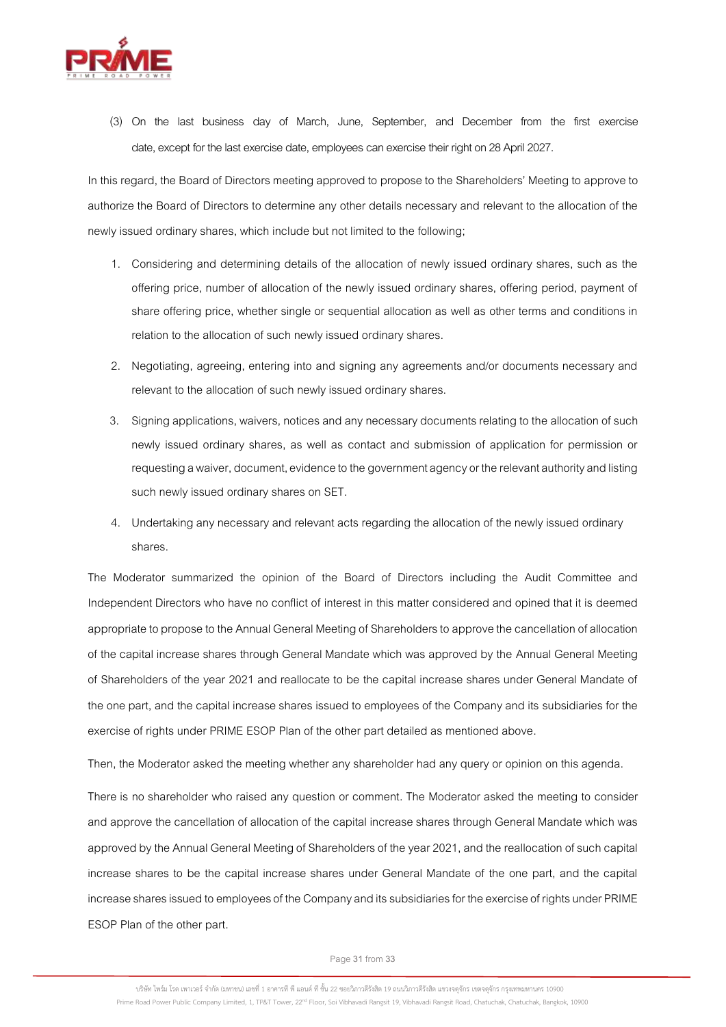

(3) On the last business day of March, June, September, and December from the first exercise date, except for the last exercise date, employees can exercise their right on 28 April 2027.

In this regard, the Board of Directors meeting approved to propose to the Shareholders' Meeting to approve to authorize the Board of Directors to determine any other details necessary and relevant to the allocation of the newly issued ordinary shares, which include but not limited to the following;

- 1. Considering and determining details of the allocation of newly issued ordinary shares, such as the offering price, number of allocation of the newly issued ordinary shares, offering period, payment of share offering price, whether single or sequential allocation as well as other terms and conditions in relation to the allocation of such newly issued ordinary shares.
- 2. Negotiating, agreeing, entering into and signing any agreements and/or documents necessary and relevant to the allocation of such newly issued ordinary shares.
- 3. Signing applications, waivers, notices and any necessary documents relating to the allocation of such newly issued ordinary shares, as well as contact and submission of application for permission or requesting a waiver, document, evidence to the government agency or the relevant authority and listing such newly issued ordinary shares on SET.
- 4. Undertaking any necessary and relevant acts regarding the allocation of the newly issued ordinary shares.

The Moderator summarized the opinion of the Board of Directors including the Audit Committee and Independent Directors who have no conflict of interest in this matter considered and opined that it is deemed appropriate to propose to the Annual General Meeting of Shareholders to approve the cancellation of allocation of the capital increase shares through General Mandate which was approved by the Annual General Meeting of Shareholders of the year 2021 and reallocate to be the capital increase shares under General Mandate of the one part, and the capital increase shares issued to employees of the Company and its subsidiaries for the exercise of rights under PRIME ESOP Plan of the other part detailed as mentioned above.

Then, the Moderator asked the meeting whether any shareholder had any query or opinion on this agenda.

There is no shareholder who raised any question or comment. The Moderator asked the meeting to consider and approve the cancellation of allocation of the capital increase shares through General Mandate which was approved by the Annual General Meeting of Shareholders of the year 2021, and the reallocation of such capital increase shares to be the capital increase shares under General Mandate of the one part, and the capital increase shares issued to employees of the Company and its subsidiaries for the exercise of rights under PRIME ESOP Plan of the other part.

Page**31**from **33**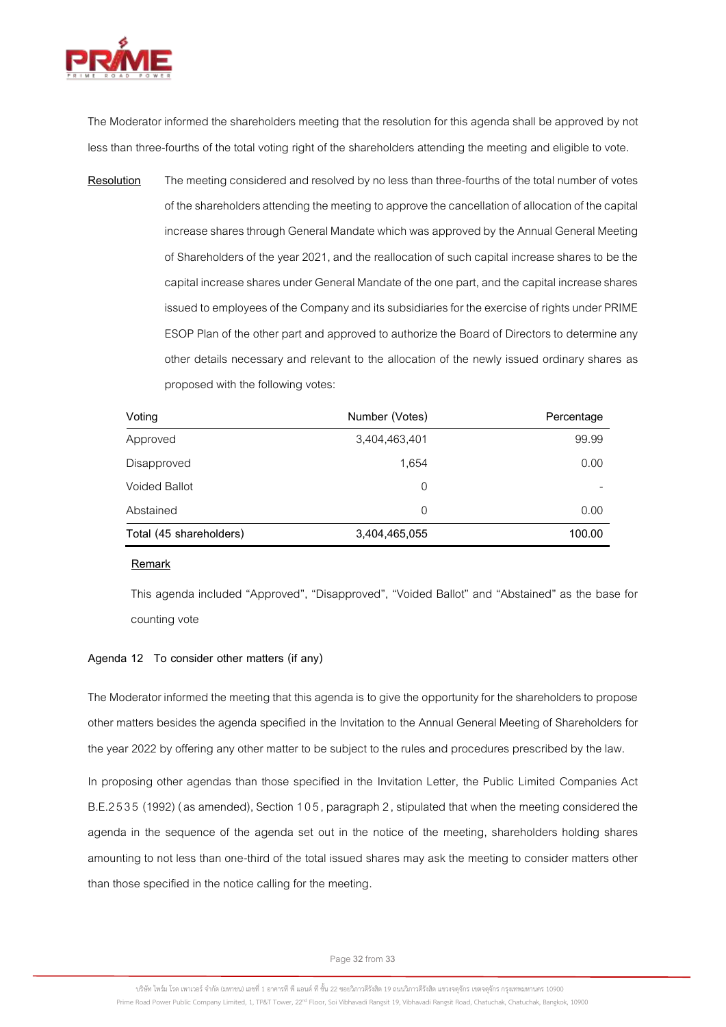

The Moderator informed the shareholders meeting that the resolution for this agenda shall be approved by not less than three-fourths of the total voting right of the shareholders attending the meeting and eligible to vote.

**Resolution** The meeting considered and resolved by no less than three-fourths of the total number of votes of the shareholders attending the meeting to approve the cancellation of allocation of the capital increase shares through General Mandate which was approved by the Annual General Meeting of Shareholders of the year 2021, and the reallocation of such capital increase shares to be the capital increase shares under General Mandate of the one part, and the capital increase shares issued to employees of the Company and its subsidiaries for the exercise of rights under PRIME ESOP Plan of the other part and approved to authorize the Board of Directors to determine any other details necessary and relevant to the allocation of the newly issued ordinary shares as proposed with the following votes:

| Voting                  | Number (Votes) | Percentage |
|-------------------------|----------------|------------|
| Approved                | 3,404,463,401  | 99.99      |
| Disapproved             | 1,654          | 0.00       |
| <b>Voided Ballot</b>    | $\Omega$       |            |
| Abstained               | $\Omega$       | 0.00       |
| Total (45 shareholders) | 3,404,465,055  | 100.00     |

#### **Remark**

This agenda included "Approved", "Disapproved", "Voided Ballot" and "Abstained" as the base for counting vote

# **Agenda 12 To consider other matters (if any)**

The Moderator informed the meeting that this agenda is to give the opportunity for the shareholders to propose other matters besides the agenda specified in the Invitation to the Annual General Meeting of Shareholders for the year 2022 by offering any other matter to be subject to the rules and procedures prescribed by the law.

In proposing other agendas than those specified in the Invitation Letter, the Public Limited Companies Act B.E.2535 (1992) (as amended), Section 105, paragraph 2, stipulated that when the meeting considered the agenda in the sequence of the agenda set out in the notice of the meeting, shareholders holding shares amounting to not less than one-third of the total issued shares may ask the meeting to consider matters other than those specified in the notice calling for the meeting.

Page**32**from **33**